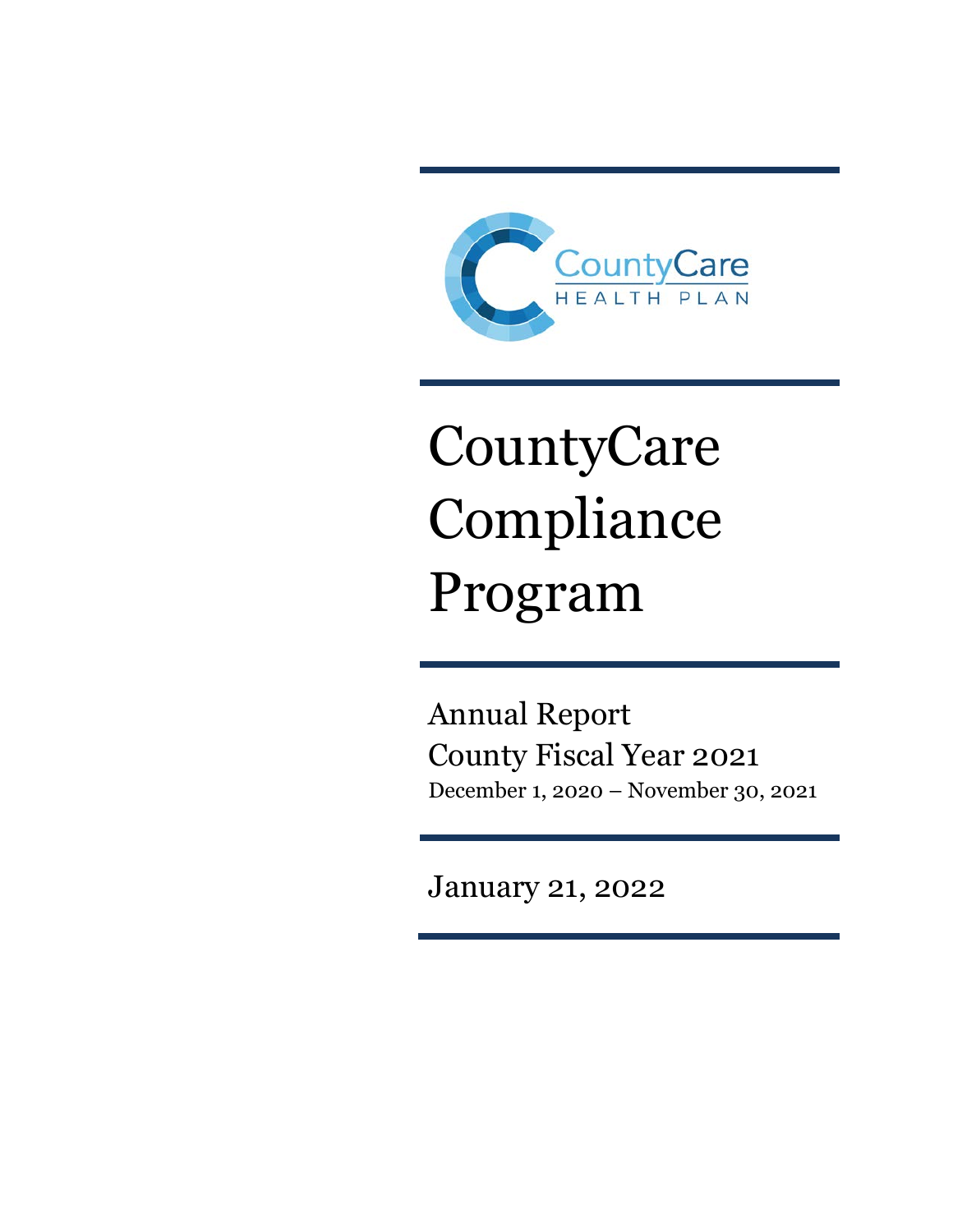

# CountyCare Compliance Program

Annual Report County Fiscal Year 2021 December 1, 2020 – November 30, 2021

January 21, 2022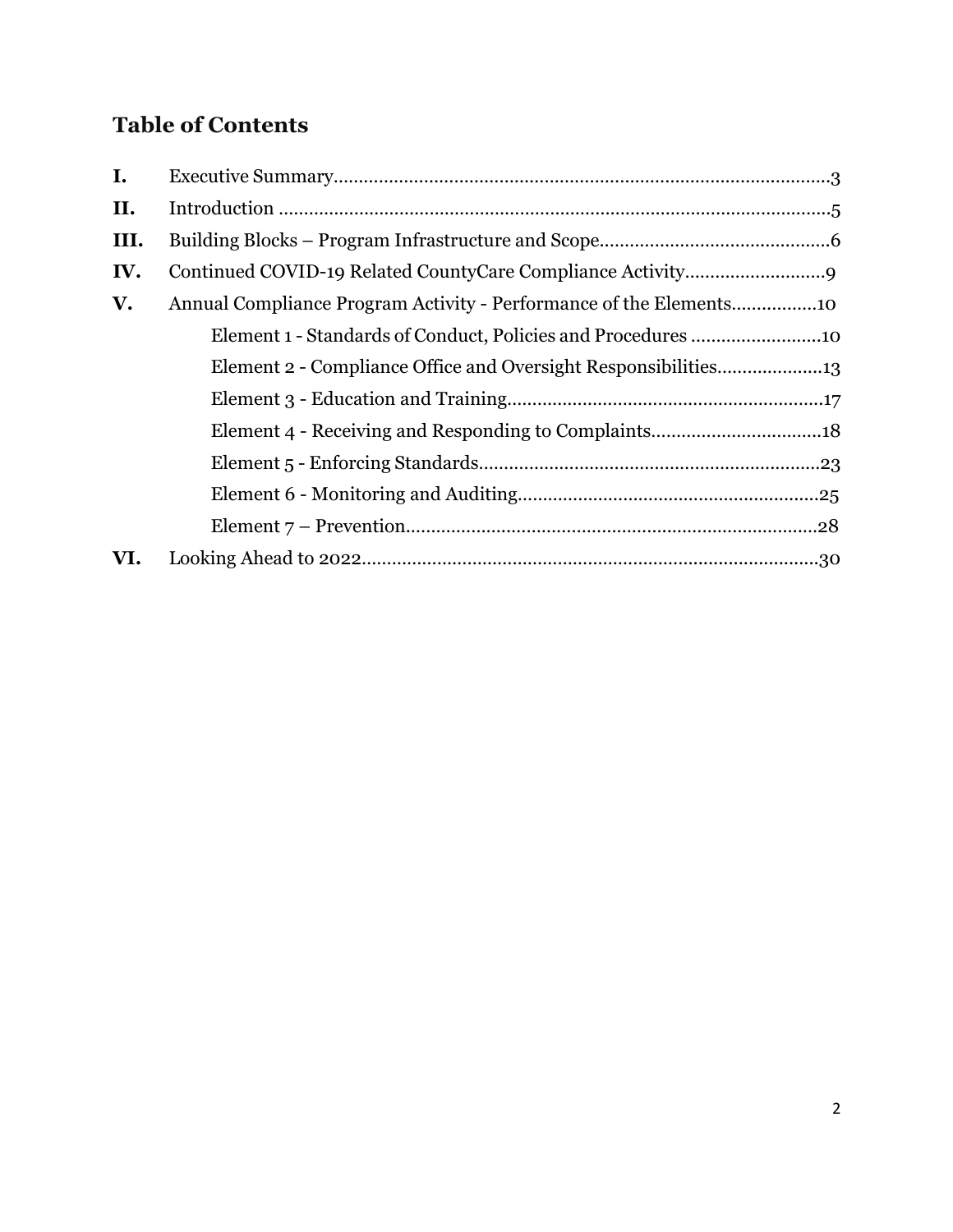# **Table of Contents**

| $\mathbf{I}$ . |                                                                |  |
|----------------|----------------------------------------------------------------|--|
| II.            |                                                                |  |
| III.           |                                                                |  |
| IV.            |                                                                |  |
| V.             |                                                                |  |
|                |                                                                |  |
|                | Element 2 - Compliance Office and Oversight Responsibilities13 |  |
|                |                                                                |  |
|                |                                                                |  |
|                |                                                                |  |
|                |                                                                |  |
|                |                                                                |  |
| VI.            |                                                                |  |
|                |                                                                |  |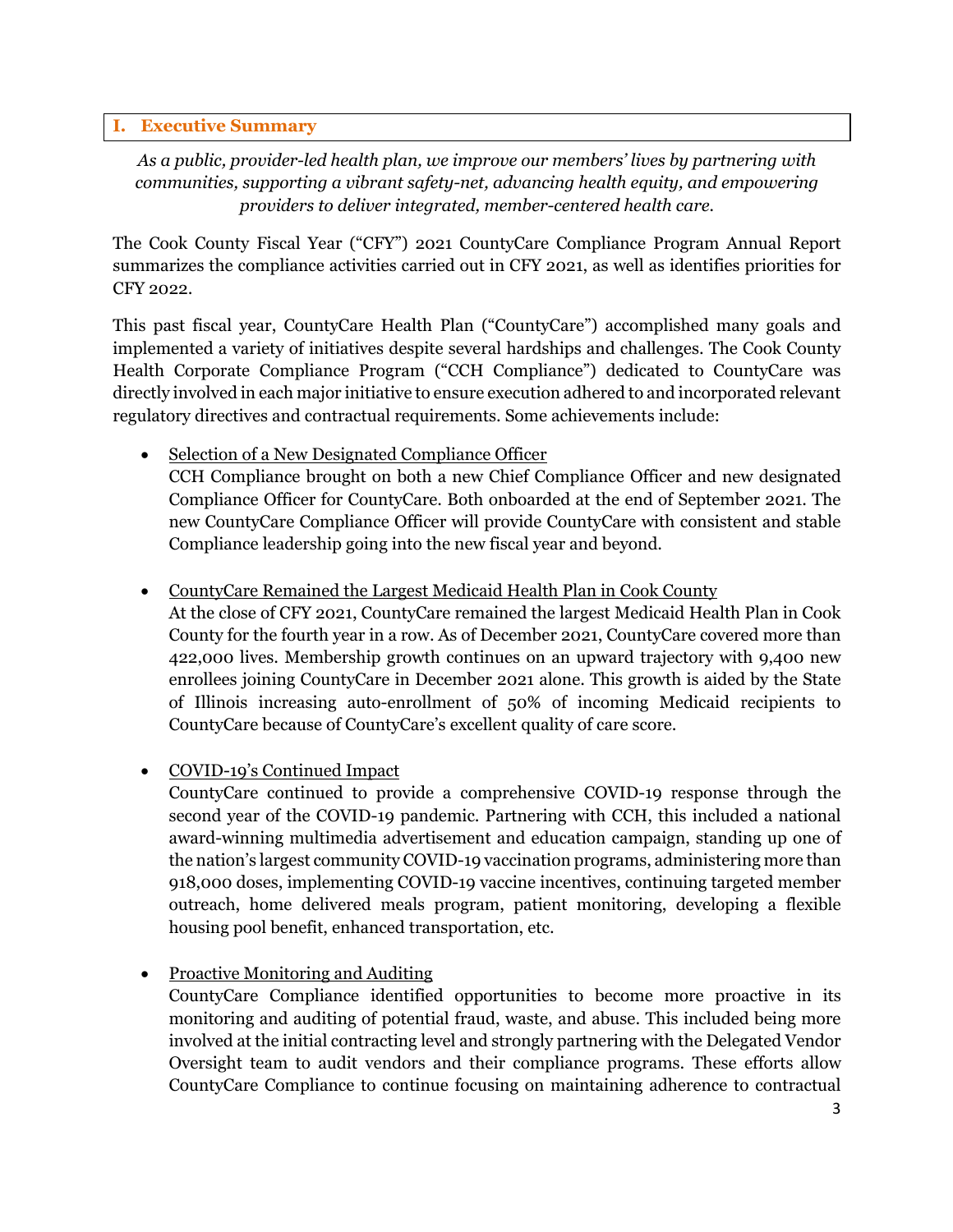#### **I. Executive Summary**

*As a public, provider-led health plan, we improve our members' lives by partnering with communities, supporting a vibrant safety-net, advancing health equity, and empowering providers to deliver integrated, member-centered health care.*

The Cook County Fiscal Year ("CFY") 2021 CountyCare Compliance Program Annual Report summarizes the compliance activities carried out in CFY 2021, as well as identifies priorities for CFY 2022.

This past fiscal year, CountyCare Health Plan ("CountyCare") accomplished many goals and implemented a variety of initiatives despite several hardships and challenges. The Cook County Health Corporate Compliance Program ("CCH Compliance") dedicated to CountyCare was directly involved in each major initiative to ensure execution adhered to and incorporated relevant regulatory directives and contractual requirements. Some achievements include:

Selection of a New Designated Compliance Officer CCH Compliance brought on both a new Chief Compliance Officer and new designated Compliance Officer for CountyCare. Both onboarded at the end of September 2021. The new CountyCare Compliance Officer will provide CountyCare with consistent and stable Compliance leadership going into the new fiscal year and beyond.

• CountyCare Remained the Largest Medicaid Health Plan in Cook County

At the close of CFY 2021, CountyCare remained the largest Medicaid Health Plan in Cook County for the fourth year in a row. As of December 2021, CountyCare covered more than 422,000 lives. Membership growth continues on an upward trajectory with 9,400 new enrollees joining CountyCare in December 2021 alone. This growth is aided by the State of Illinois increasing auto-enrollment of 50% of incoming Medicaid recipients to CountyCare because of CountyCare's excellent quality of care score.

• COVID-19's Continued Impact

CountyCare continued to provide a comprehensive COVID-19 response through the second year of the COVID-19 pandemic. Partnering with CCH, this included a national award-winning multimedia advertisement and education campaign, standing up one of the nation's largest community COVID-19 vaccination programs, administering more than 918,000 doses, implementing COVID-19 vaccine incentives, continuing targeted member outreach, home delivered meals program, patient monitoring, developing a flexible housing pool benefit, enhanced transportation, etc.

• Proactive Monitoring and Auditing

CountyCare Compliance identified opportunities to become more proactive in its monitoring and auditing of potential fraud, waste, and abuse. This included being more involved at the initial contracting level and strongly partnering with the Delegated Vendor Oversight team to audit vendors and their compliance programs. These efforts allow CountyCare Compliance to continue focusing on maintaining adherence to contractual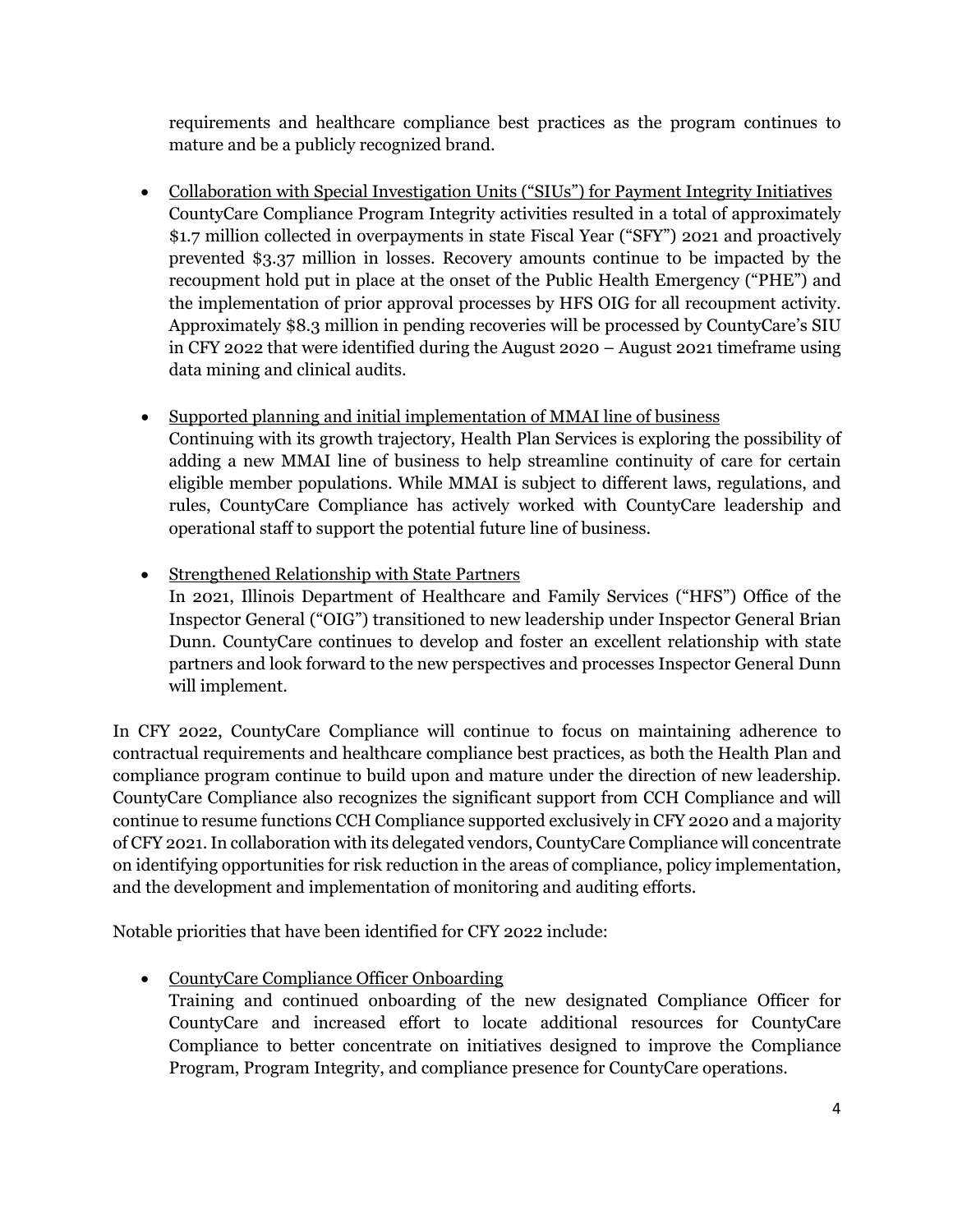requirements and healthcare compliance best practices as the program continues to mature and be a publicly recognized brand.

- Collaboration with Special Investigation Units ("SIUs") for Payment Integrity Initiatives CountyCare Compliance Program Integrity activities resulted in a total of approximately \$1.7 million collected in overpayments in state Fiscal Year ("SFY") 2021 and proactively prevented \$3.37 million in losses. Recovery amounts continue to be impacted by the recoupment hold put in place at the onset of the Public Health Emergency ("PHE") and the implementation of prior approval processes by HFS OIG for all recoupment activity. Approximately \$8.3 million in pending recoveries will be processed by CountyCare's SIU in CFY 2022 that were identified during the August 2020 – August 2021 timeframe using data mining and clinical audits.
- Supported planning and initial implementation of MMAI line of business Continuing with its growth trajectory, Health Plan Services is exploring the possibility of adding a new MMAI line of business to help streamline continuity of care for certain eligible member populations. While MMAI is subject to different laws, regulations, and rules, CountyCare Compliance has actively worked with CountyCare leadership and operational staff to support the potential future line of business.
- Strengthened Relationship with State Partners In 2021, Illinois Department of Healthcare and Family Services ("HFS") Office of the Inspector General ("OIG") transitioned to new leadership under Inspector General Brian Dunn. CountyCare continues to develop and foster an excellent relationship with state partners and look forward to the new perspectives and processes Inspector General Dunn will implement.

In CFY 2022, CountyCare Compliance will continue to focus on maintaining adherence to contractual requirements and healthcare compliance best practices, as both the Health Plan and compliance program continue to build upon and mature under the direction of new leadership. CountyCare Compliance also recognizes the significant support from CCH Compliance and will continue to resume functions CCH Compliance supported exclusively in CFY 2020 and a majority of CFY 2021.In collaboration with its delegated vendors, CountyCare Compliance will concentrate on identifying opportunities for risk reduction in the areas of compliance, policy implementation, and the development and implementation of monitoring and auditing efforts.

Notable priorities that have been identified for CFY 2022 include:

- CountyCare Compliance Officer Onboarding
	- Training and continued onboarding of the new designated Compliance Officer for CountyCare and increased effort to locate additional resources for CountyCare Compliance to better concentrate on initiatives designed to improve the Compliance Program, Program Integrity, and compliance presence for CountyCare operations.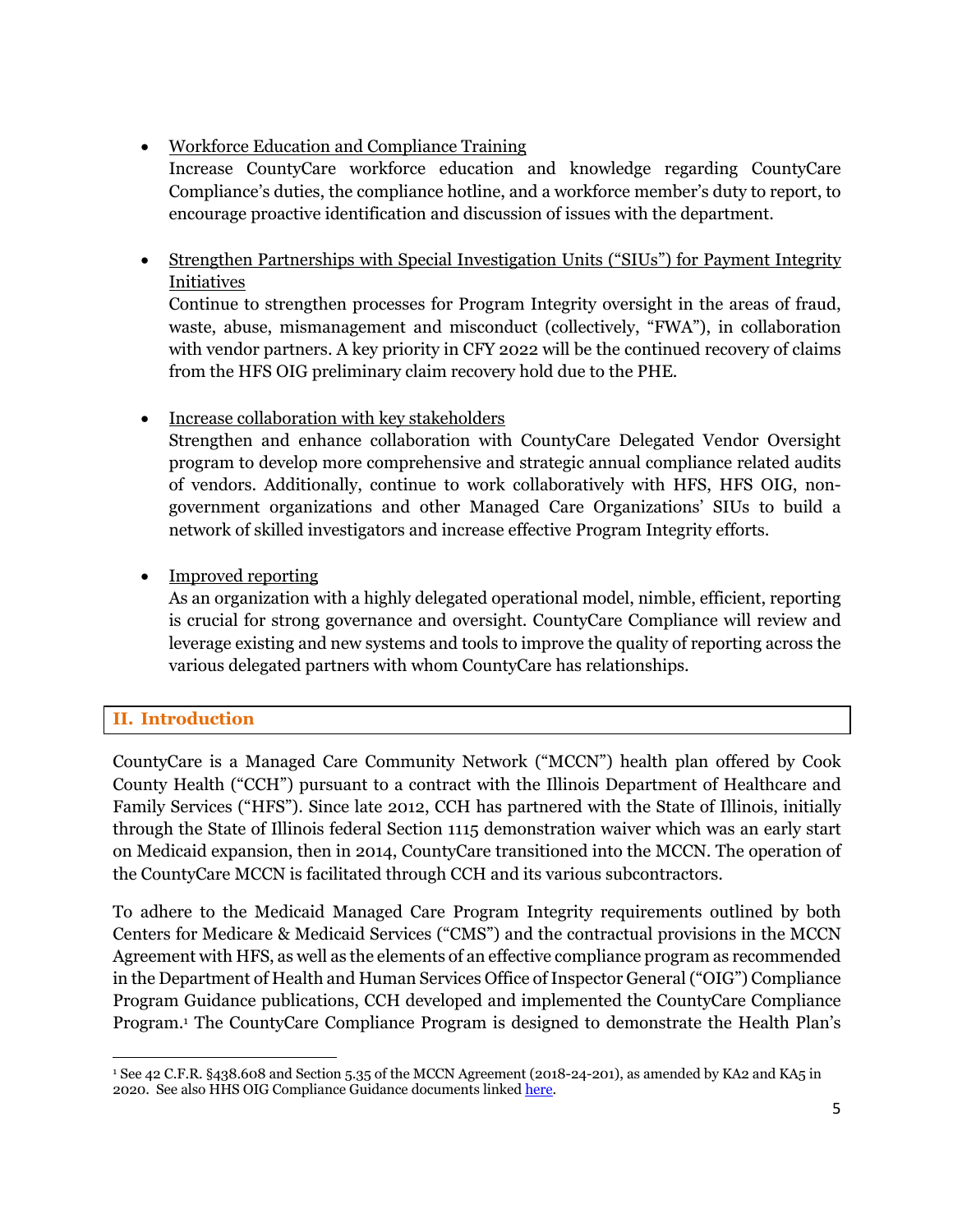# • Workforce Education and Compliance Training

Increase CountyCare workforce education and knowledge regarding CountyCare Compliance's duties, the compliance hotline, and a workforce member's duty to report, to encourage proactive identification and discussion of issues with the department.

• Strengthen Partnerships with Special Investigation Units ("SIUs") for Payment Integrity Initiatives

Continue to strengthen processes for Program Integrity oversight in the areas of fraud, waste, abuse, mismanagement and misconduct (collectively, "FWA"), in collaboration with vendor partners. A key priority in CFY 2022 will be the continued recovery of claims from the HFS OIG preliminary claim recovery hold due to the PHE.

# • Increase collaboration with key stakeholders

Strengthen and enhance collaboration with CountyCare Delegated Vendor Oversight program to develop more comprehensive and strategic annual compliance related audits of vendors. Additionally, continue to work collaboratively with HFS, HFS OIG, nongovernment organizations and other Managed Care Organizations' SIUs to build a network of skilled investigators and increase effective Program Integrity efforts.

# • Improved reporting

As an organization with a highly delegated operational model, nimble, efficient, reporting is crucial for strong governance and oversight. CountyCare Compliance will review and leverage existing and new systems and tools to improve the quality of reporting across the various delegated partners with whom CountyCare has relationships.

# **II. Introduction**

CountyCare is a Managed Care Community Network ("MCCN") health plan offered by Cook County Health ("CCH") pursuant to a contract with the Illinois Department of Healthcare and Family Services ("HFS"). Since late 2012, CCH has partnered with the State of Illinois, initially through the State of Illinois federal Section 1115 demonstration waiver which was an early start on Medicaid expansion, then in 2014, CountyCare transitioned into the MCCN. The operation of the CountyCare MCCN is facilitated through CCH and its various subcontractors.

To adhere to the Medicaid Managed Care Program Integrity requirements outlined by both Centers for Medicare & Medicaid Services ("CMS") and the contractual provisions in the MCCN Agreement with HFS, as well as the elements of an effective compliance program as recommended in the Department of Health and Human Services Office of Inspector General ("OIG") Compliance Program Guidance publications, CCH developed and implemented the CountyCare Compliance Program.1 The CountyCare Compliance Program is designed to demonstrate the Health Plan's

<sup>1</sup> See 42 C.F.R. §438.608 and Section 5.35 of the MCCN Agreement (2018-24-201), as amended by KA2 and KA5 in 2020. See also HHS OIG Compliance Guidance documents linked <u>here</u>.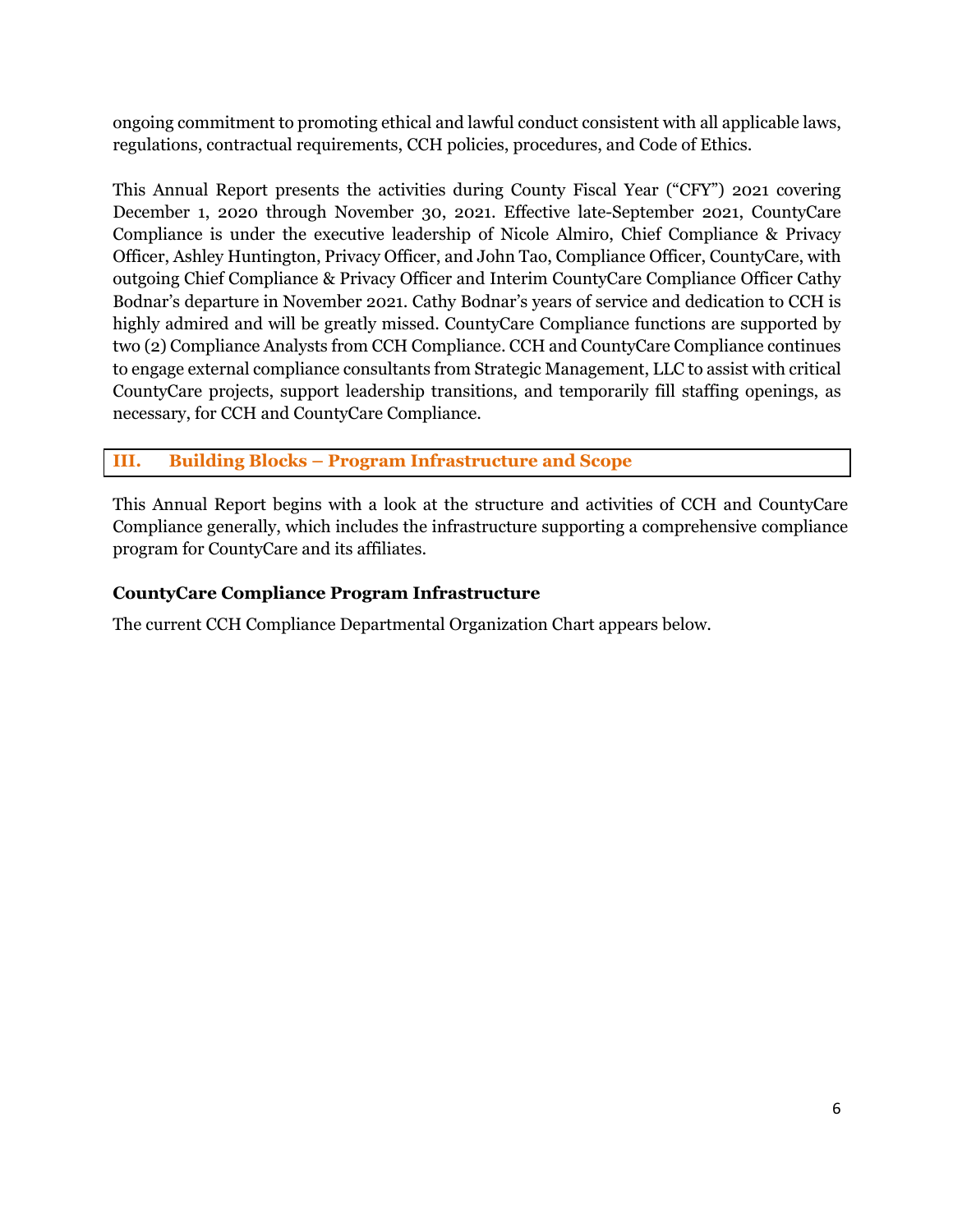ongoing commitment to promoting ethical and lawful conduct consistent with all applicable laws, regulations, contractual requirements, CCH policies, procedures, and Code of Ethics.

This Annual Report presents the activities during County Fiscal Year ("CFY") 2021 covering December 1, 2020 through November 30, 2021. Effective late-September 2021, CountyCare Compliance is under the executive leadership of Nicole Almiro, Chief Compliance & Privacy Officer, Ashley Huntington, Privacy Officer, and John Tao, Compliance Officer, CountyCare, with outgoing Chief Compliance & Privacy Officer and Interim CountyCare Compliance Officer Cathy Bodnar's departure in November 2021. Cathy Bodnar's years of service and dedication to CCH is highly admired and will be greatly missed. CountyCare Compliance functions are supported by two (2) Compliance Analysts from CCH Compliance. CCH and CountyCare Compliance continues to engage external compliance consultants from Strategic Management, LLC to assist with critical CountyCare projects, support leadership transitions, and temporarily fill staffing openings, as necessary, for CCH and CountyCare Compliance.

# **III. Building Blocks – Program Infrastructure and Scope**

This Annual Report begins with a look at the structure and activities of CCH and CountyCare Compliance generally, which includes the infrastructure supporting a comprehensive compliance program for CountyCare and its affiliates.

# **CountyCare Compliance Program Infrastructure**

The current CCH Compliance Departmental Organization Chart appears below.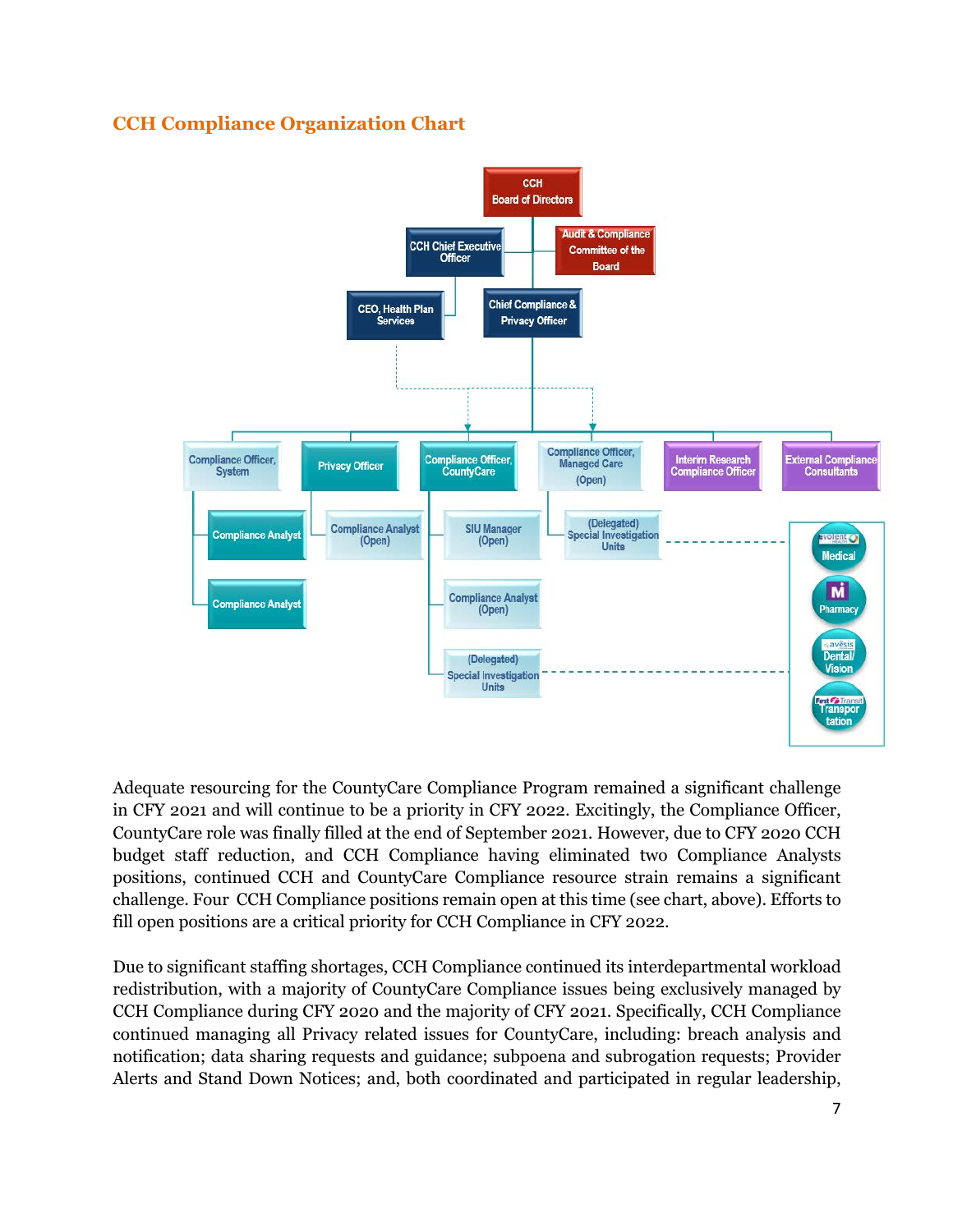# **CCH Compliance Organization Chart**



Adequate resourcing for the CountyCare Compliance Program remained a significant challenge in CFY 2021 and will continue to be a priority in CFY 2022. Excitingly, the Compliance Officer, CountyCare role was finally filled at the end of September 2021. However, due to CFY 2020 CCH budget staff reduction, and CCH Compliance having eliminated two Compliance Analysts positions, continued CCH and CountyCare Compliance resource strain remains a significant challenge. Four CCH Compliance positions remain open at this time (see chart, above). Efforts to fill open positions are a critical priority for CCH Compliance in CFY 2022.

Due to significant staffing shortages, CCH Compliance continued its interdepartmental workload redistribution, with a majority of CountyCare Compliance issues being exclusively managed by CCH Compliance during CFY 2020 and the majority of CFY 2021. Specifically, CCH Compliance continued managing all Privacy related issues for CountyCare, including: breach analysis and notification; data sharing requests and guidance; subpoena and subrogation requests; Provider Alerts and Stand Down Notices; and, both coordinated and participated in regular leadership,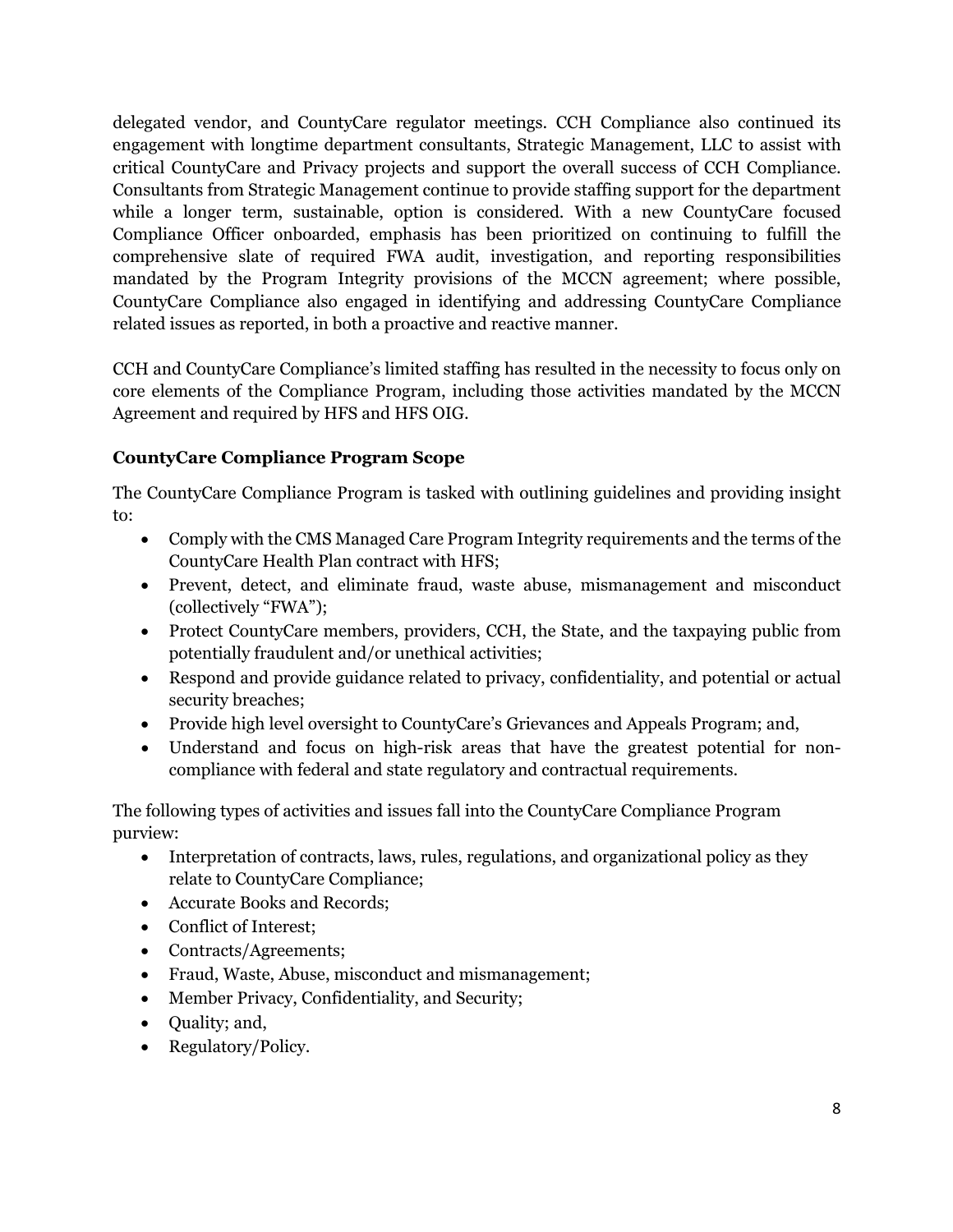delegated vendor, and CountyCare regulator meetings. CCH Compliance also continued its engagement with longtime department consultants, Strategic Management, LLC to assist with critical CountyCare and Privacy projects and support the overall success of CCH Compliance. Consultants from Strategic Management continue to provide staffing support for the department while a longer term, sustainable, option is considered. With a new CountyCare focused Compliance Officer onboarded, emphasis has been prioritized on continuing to fulfill the comprehensive slate of required FWA audit, investigation, and reporting responsibilities mandated by the Program Integrity provisions of the MCCN agreement; where possible, CountyCare Compliance also engaged in identifying and addressing CountyCare Compliance related issues as reported, in both a proactive and reactive manner.

CCH and CountyCare Compliance's limited staffing has resulted in the necessity to focus only on core elements of the Compliance Program, including those activities mandated by the MCCN Agreement and required by HFS and HFS OIG.

# **CountyCare Compliance Program Scope**

The CountyCare Compliance Program is tasked with outlining guidelines and providing insight to:

- Comply with the CMS Managed Care Program Integrity requirements and the terms of the CountyCare Health Plan contract with HFS;
- Prevent, detect, and eliminate fraud, waste abuse, mismanagement and misconduct (collectively "FWA");
- Protect CountyCare members, providers, CCH, the State, and the taxpaying public from potentially fraudulent and/or unethical activities;
- Respond and provide guidance related to privacy, confidentiality, and potential or actual security breaches;
- Provide high level oversight to CountyCare's Grievances and Appeals Program; and,
- Understand and focus on high-risk areas that have the greatest potential for noncompliance with federal and state regulatory and contractual requirements.

The following types of activities and issues fall into the CountyCare Compliance Program purview:

- Interpretation of contracts, laws, rules, regulations, and organizational policy as they relate to CountyCare Compliance;
- Accurate Books and Records;
- Conflict of Interest:
- Contracts/Agreements;
- Fraud, Waste, Abuse, misconduct and mismanagement;
- Member Privacy, Confidentiality, and Security;
- Quality; and,
- Regulatory/Policy.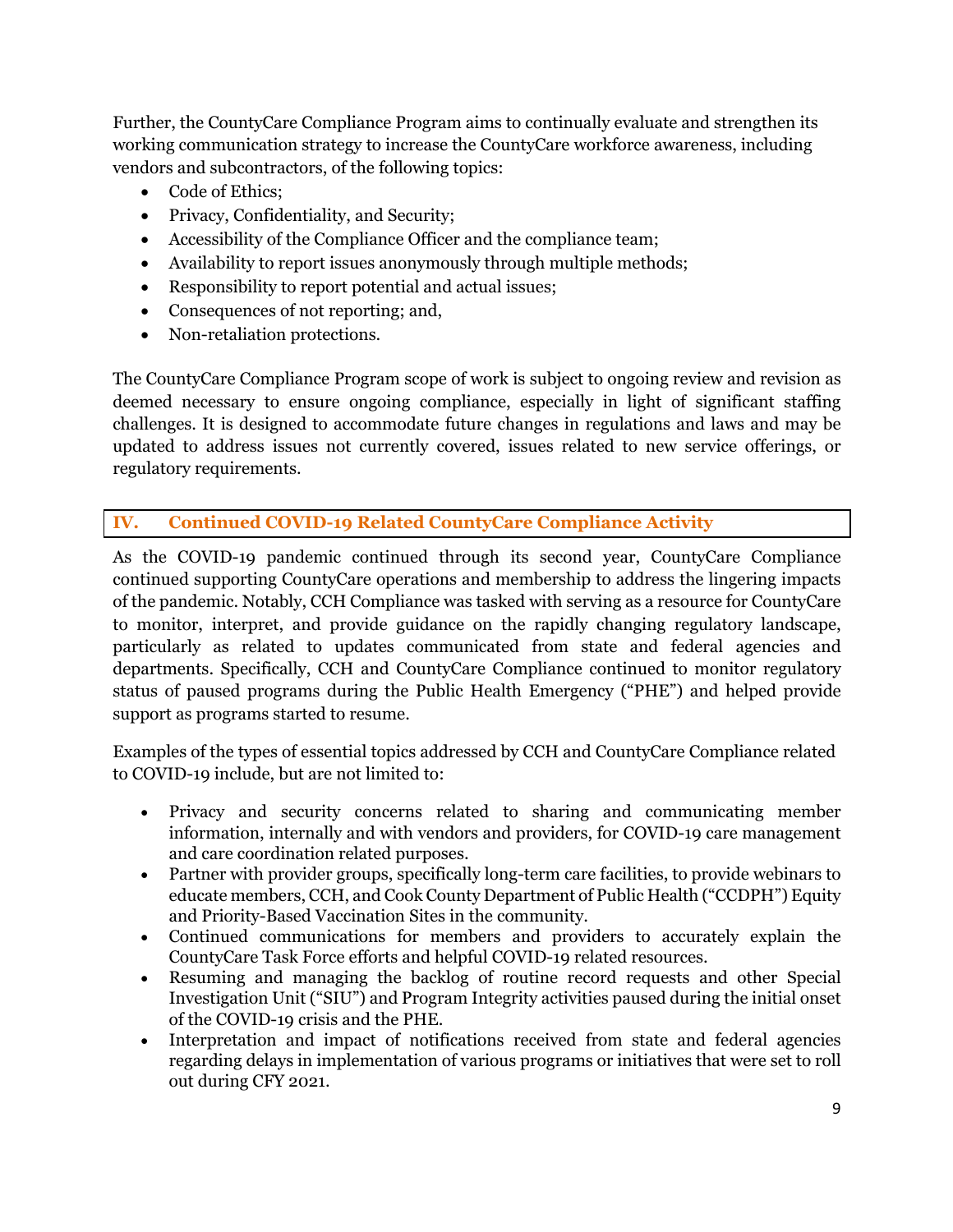Further, the CountyCare Compliance Program aims to continually evaluate and strengthen its working communication strategy to increase the CountyCare workforce awareness, including vendors and subcontractors, of the following topics:

- Code of Ethics;
- Privacy, Confidentiality, and Security;
- Accessibility of the Compliance Officer and the compliance team;
- Availability to report issues anonymously through multiple methods;
- Responsibility to report potential and actual issues;
- Consequences of not reporting; and,
- Non-retaliation protections.

The CountyCare Compliance Program scope of work is subject to ongoing review and revision as deemed necessary to ensure ongoing compliance, especially in light of significant staffing challenges. It is designed to accommodate future changes in regulations and laws and may be updated to address issues not currently covered, issues related to new service offerings, or regulatory requirements.

# **IV. Continued COVID-19 Related CountyCare Compliance Activity**

As the COVID-19 pandemic continued through its second year, CountyCare Compliance continued supporting CountyCare operations and membership to address the lingering impacts of the pandemic. Notably, CCH Compliance was tasked with serving as a resource for CountyCare to monitor, interpret, and provide guidance on the rapidly changing regulatory landscape, particularly as related to updates communicated from state and federal agencies and departments. Specifically, CCH and CountyCare Compliance continued to monitor regulatory status of paused programs during the Public Health Emergency ("PHE") and helped provide support as programs started to resume.

Examples of the types of essential topics addressed by CCH and CountyCare Compliance related to COVID-19 include, but are not limited to:

- Privacy and security concerns related to sharing and communicating member information, internally and with vendors and providers, for COVID-19 care management and care coordination related purposes.
- Partner with provider groups, specifically long-term care facilities, to provide webinars to educate members, CCH, and Cook County Department of Public Health ("CCDPH") Equity and Priority-Based Vaccination Sites in the community.
- Continued communications for members and providers to accurately explain the CountyCare Task Force efforts and helpful COVID-19 related resources.
- Resuming and managing the backlog of routine record requests and other Special Investigation Unit ("SIU") and Program Integrity activities paused during the initial onset of the COVID-19 crisis and the PHE.
- Interpretation and impact of notifications received from state and federal agencies regarding delays in implementation of various programs or initiatives that were set to roll out during CFY 2021.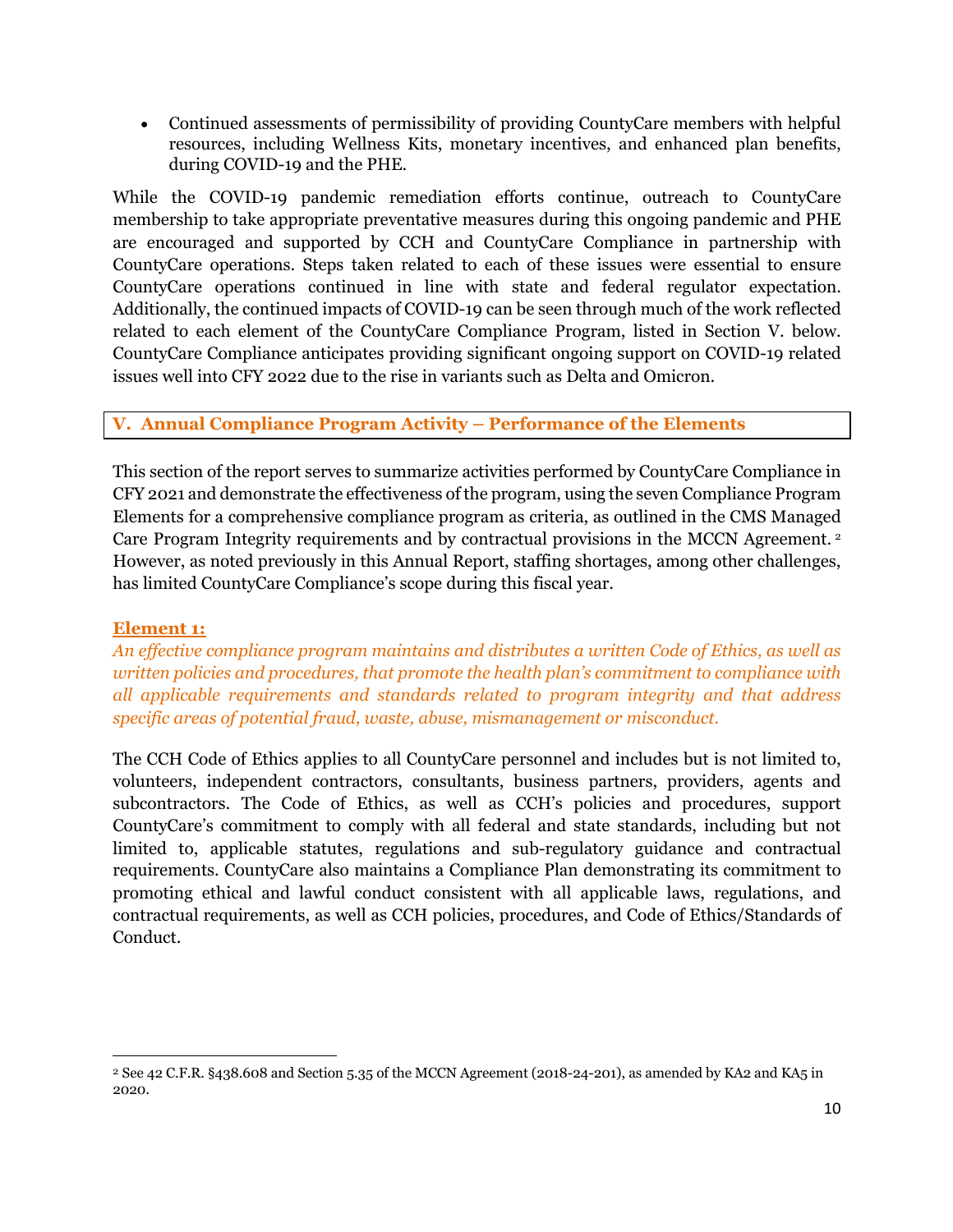• Continued assessments of permissibility of providing CountyCare members with helpful resources, including Wellness Kits, monetary incentives, and enhanced plan benefits, during COVID-19 and the PHE.

While the COVID-19 pandemic remediation efforts continue, outreach to CountyCare membership to take appropriate preventative measures during this ongoing pandemic and PHE are encouraged and supported by CCH and CountyCare Compliance in partnership with CountyCare operations. Steps taken related to each of these issues were essential to ensure CountyCare operations continued in line with state and federal regulator expectation. Additionally, the continued impacts of COVID-19 can be seen through much of the work reflected related to each element of the CountyCare Compliance Program, listed in Section V. below. CountyCare Compliance anticipates providing significant ongoing support on COVID-19 related issues well into CFY 2022 due to the rise in variants such as Delta and Omicron.

# **V. Annual Compliance Program Activity – Performance of the Elements**

This section of the report serves to summarize activities performed by CountyCare Compliance in CFY 2021 and demonstrate the effectiveness of the program, using the seven Compliance Program Elements for a comprehensive compliance program as criteria, as outlined in the CMS Managed Care Program Integrity requirements and by contractual provisions in the MCCN Agreement. <sup>2</sup> However, as noted previously in this Annual Report, staffing shortages, among other challenges, has limited CountyCare Compliance's scope during this fiscal year.

#### **Element 1:**

*An effective compliance program maintains and distributes a written Code of Ethics, as well as written policies and procedures, that promote the health plan's commitment to compliance with all applicable requirements and standards related to program integrity and that address specific areas of potential fraud, waste, abuse, mismanagement or misconduct.*

The CCH Code of Ethics applies to all CountyCare personnel and includes but is not limited to, volunteers, independent contractors, consultants, business partners, providers, agents and subcontractors. The Code of Ethics, as well as CCH's policies and procedures, support CountyCare's commitment to comply with all federal and state standards, including but not limited to, applicable statutes, regulations and sub-regulatory guidance and contractual requirements. CountyCare also maintains a Compliance Plan demonstrating its commitment to promoting ethical and lawful conduct consistent with all applicable laws, regulations, and contractual requirements, as well as CCH policies, procedures, and Code of Ethics/Standards of Conduct.

<sup>2</sup> See 42 C.F.R. §438.608 and Section 5.35 of the MCCN Agreement (2018-24-201), as amended by KA2 and KA5 in 2020.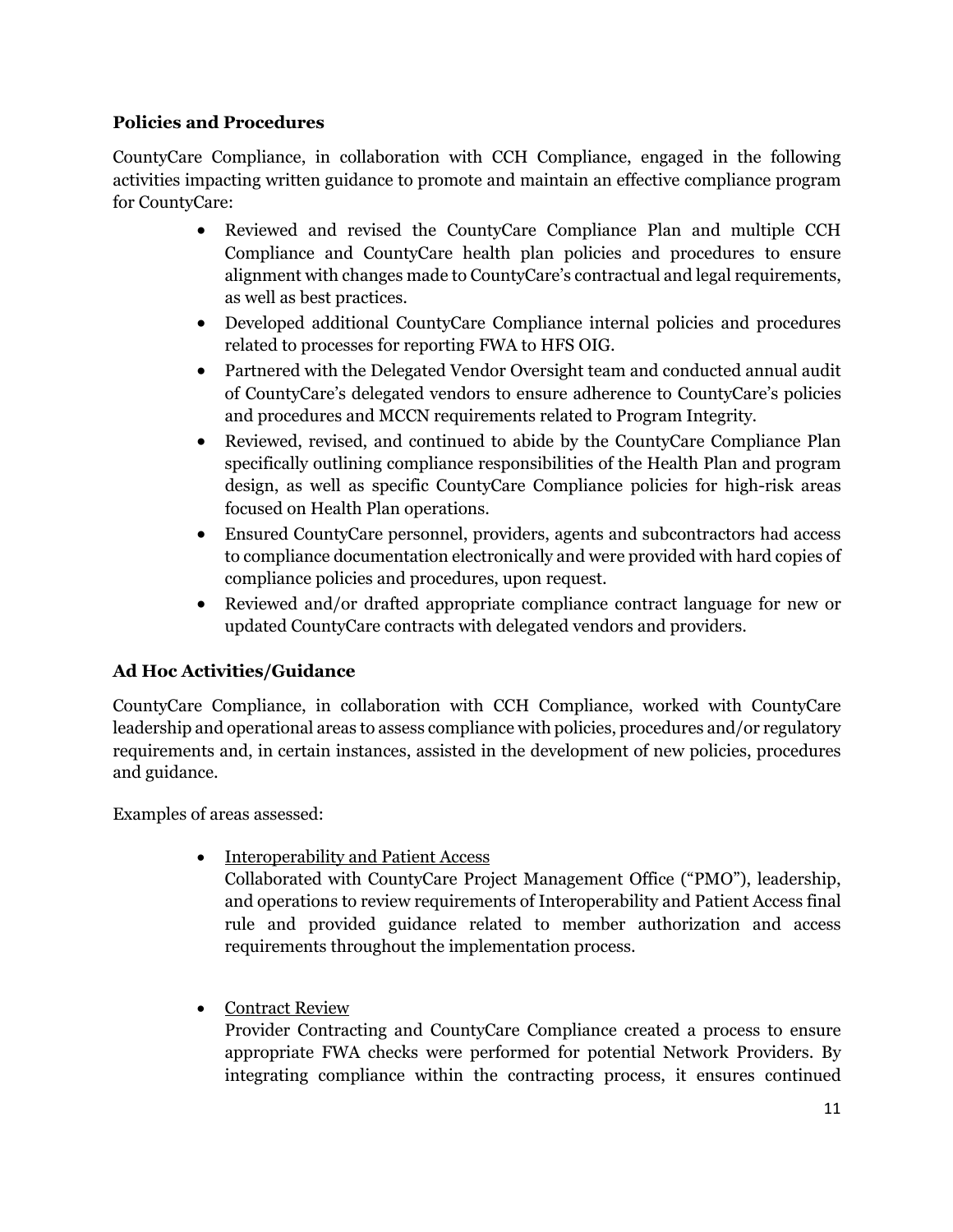# **Policies and Procedures**

CountyCare Compliance, in collaboration with CCH Compliance, engaged in the following activities impacting written guidance to promote and maintain an effective compliance program for CountyCare:

- Reviewed and revised the CountyCare Compliance Plan and multiple CCH Compliance and CountyCare health plan policies and procedures to ensure alignment with changes made to CountyCare's contractual and legal requirements, as well as best practices.
- Developed additional CountyCare Compliance internal policies and procedures related to processes for reporting FWA to HFS OIG.
- Partnered with the Delegated Vendor Oversight team and conducted annual audit of CountyCare's delegated vendors to ensure adherence to CountyCare's policies and procedures and MCCN requirements related to Program Integrity.
- Reviewed, revised, and continued to abide by the CountyCare Compliance Plan specifically outlining compliance responsibilities of the Health Plan and program design, as well as specific CountyCare Compliance policies for high-risk areas focused on Health Plan operations.
- Ensured CountyCare personnel, providers, agents and subcontractors had access to compliance documentation electronically and were provided with hard copies of compliance policies and procedures, upon request.
- Reviewed and/or drafted appropriate compliance contract language for new or updated CountyCare contracts with delegated vendors and providers.

# **Ad Hoc Activities/Guidance**

CountyCare Compliance, in collaboration with CCH Compliance, worked with CountyCare leadership and operational areas to assess compliance with policies, procedures and/or regulatory requirements and, in certain instances, assisted in the development of new policies, procedures and guidance.

Examples of areas assessed:

• Interoperability and Patient Access

Collaborated with CountyCare Project Management Office ("PMO"), leadership, and operations to review requirements of Interoperability and Patient Access final rule and provided guidance related to member authorization and access requirements throughout the implementation process.

• Contract Review

Provider Contracting and CountyCare Compliance created a process to ensure appropriate FWA checks were performed for potential Network Providers. By integrating compliance within the contracting process, it ensures continued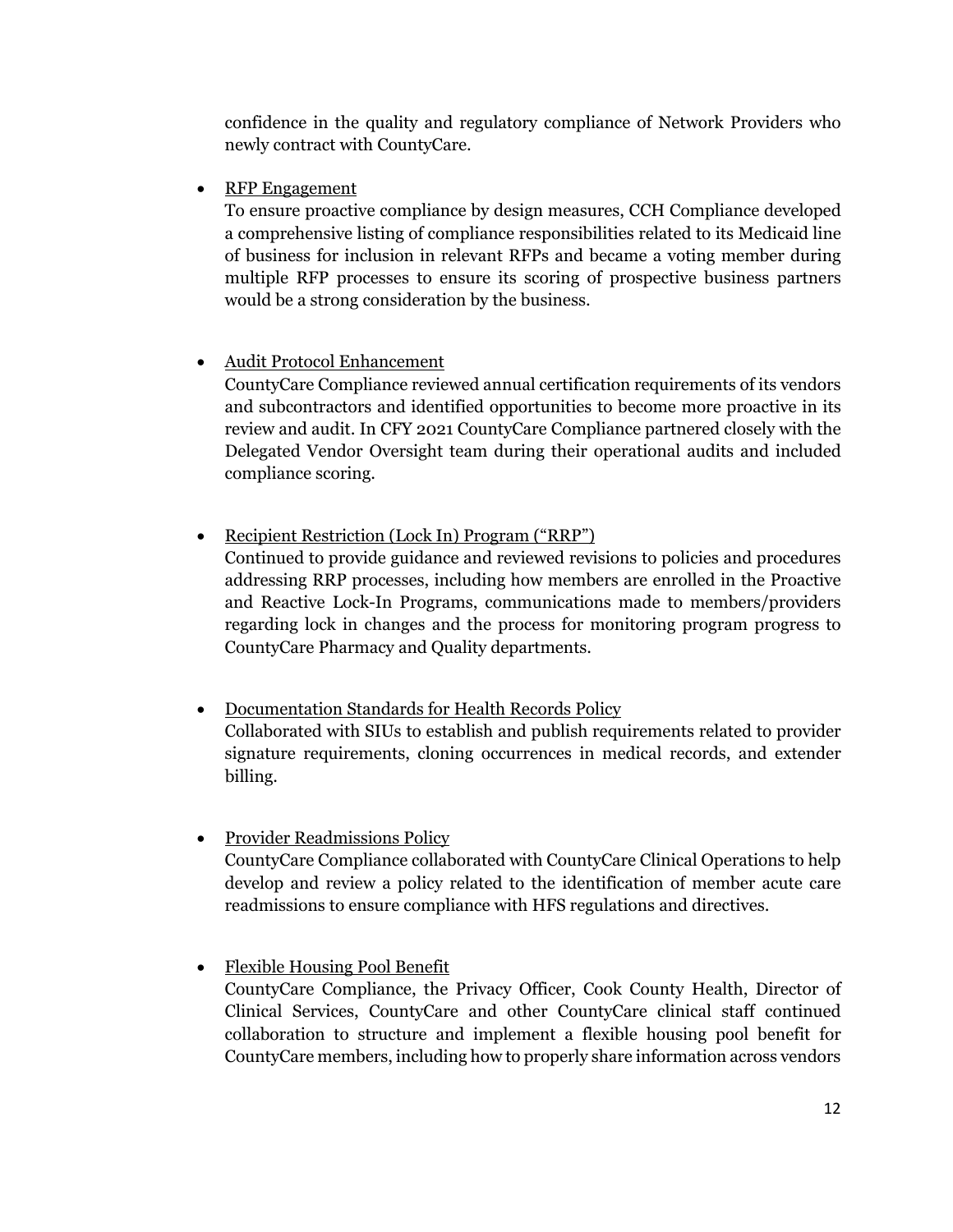confidence in the quality and regulatory compliance of Network Providers who newly contract with CountyCare.

• RFP Engagement

To ensure proactive compliance by design measures, CCH Compliance developed a comprehensive listing of compliance responsibilities related to its Medicaid line of business for inclusion in relevant RFPs and became a voting member during multiple RFP processes to ensure its scoring of prospective business partners would be a strong consideration by the business.

• Audit Protocol Enhancement

CountyCare Compliance reviewed annual certification requirements of its vendors and subcontractors and identified opportunities to become more proactive in its review and audit. In CFY 2021 CountyCare Compliance partnered closely with the Delegated Vendor Oversight team during their operational audits and included compliance scoring.

• Recipient Restriction (Lock In) Program ("RRP") Continued to provide guidance and reviewed revisions to policies and procedures addressing RRP processes, including how members are enrolled in the Proactive and Reactive Lock-In Programs, communications made to members/providers regarding lock in changes and the process for monitoring program progress to CountyCare Pharmacy and Quality departments.

- Documentation Standards for Health Records Policy Collaborated with SIUs to establish and publish requirements related to provider signature requirements, cloning occurrences in medical records, and extender billing.
- Provider Readmissions Policy CountyCare Compliance collaborated with CountyCare Clinical Operations to help develop and review a policy related to the identification of member acute care readmissions to ensure compliance with HFS regulations and directives.

• Flexible Housing Pool Benefit CountyCare Compliance, the Privacy Officer, Cook County Health, Director of Clinical Services, CountyCare and other CountyCare clinical staff continued collaboration to structure and implement a flexible housing pool benefit for CountyCare members, including how to properly share information across vendors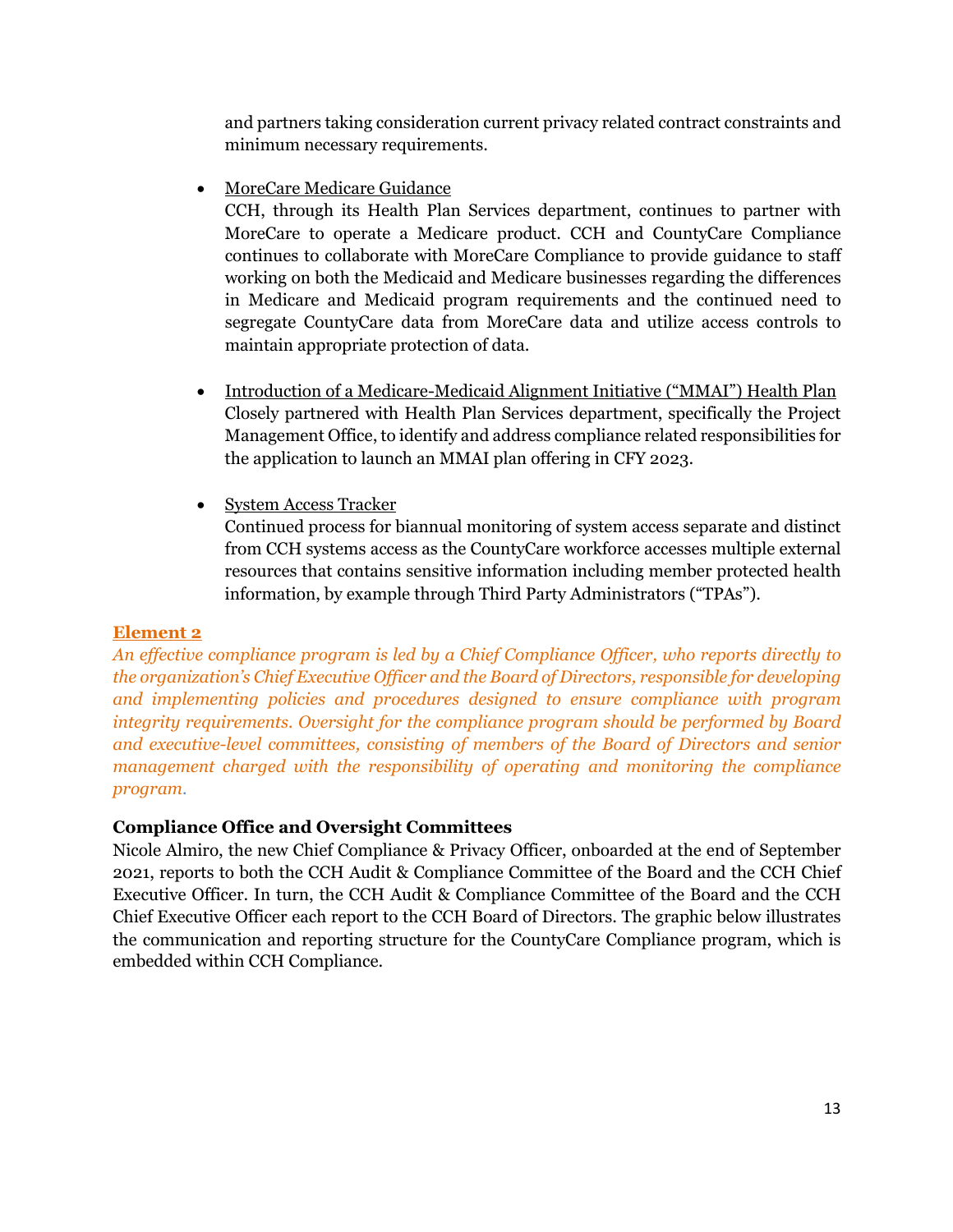and partners taking consideration current privacy related contract constraints and minimum necessary requirements.

• MoreCare Medicare Guidance

CCH, through its Health Plan Services department, continues to partner with MoreCare to operate a Medicare product. CCH and CountyCare Compliance continues to collaborate with MoreCare Compliance to provide guidance to staff working on both the Medicaid and Medicare businesses regarding the differences in Medicare and Medicaid program requirements and the continued need to segregate CountyCare data from MoreCare data and utilize access controls to maintain appropriate protection of data.

- Introduction of a Medicare-Medicaid Alignment Initiative ("MMAI") Health Plan Closely partnered with Health Plan Services department, specifically the Project Management Office, to identify and address compliance related responsibilities for the application to launch an MMAI plan offering in CFY 2023.
- System Access Tracker

Continued process for biannual monitoring of system access separate and distinct from CCH systems access as the CountyCare workforce accesses multiple external resources that contains sensitive information including member protected health information, by example through Third Party Administrators ("TPAs").

# **Element 2**

*An effective compliance program is led by a Chief Compliance Officer, who reports directly to the organization's Chief Executive Officer and the Board of Directors, responsible for developing and implementing policies and procedures designed to ensure compliance with program integrity requirements. Oversight for the compliance program should be performed by Board and executive-level committees, consisting of members of the Board of Directors and senior management charged with the responsibility of operating and monitoring the compliance program.*

# **Compliance Office and Oversight Committees**

Nicole Almiro, the new Chief Compliance & Privacy Officer, onboarded at the end of September 2021, reports to both the CCH Audit & Compliance Committee of the Board and the CCH Chief Executive Officer. In turn, the CCH Audit & Compliance Committee of the Board and the CCH Chief Executive Officer each report to the CCH Board of Directors. The graphic below illustrates the communication and reporting structure for the CountyCare Compliance program, which is embedded within CCH Compliance.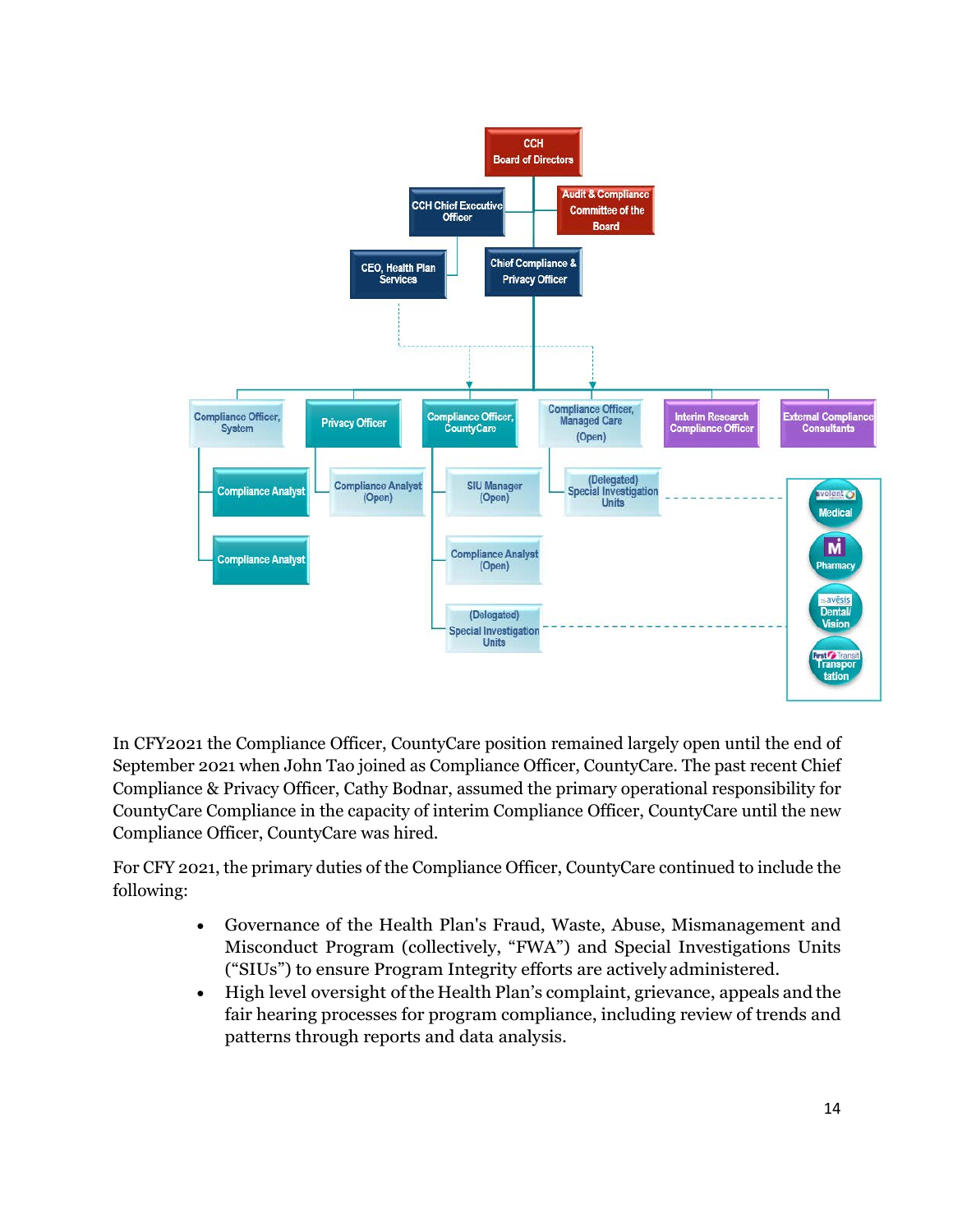

In CFY2021 the Compliance Officer, CountyCare position remained largely open until the end of September 2021 when John Tao joined as Compliance Officer, CountyCare. The past recent Chief Compliance & Privacy Officer, Cathy Bodnar, assumed the primary operational responsibility for CountyCare Compliance in the capacity of interim Compliance Officer, CountyCare until the new Compliance Officer, CountyCare was hired.

For CFY 2021, the primary duties of the Compliance Officer, CountyCare continued to include the following:

- Governance of the Health Plan's Fraud, Waste, Abuse, Mismanagement and Misconduct Program (collectively, "FWA") and Special Investigations Units ("SIUs") to ensure Program Integrity efforts are actively administered.
- High level oversight ofthe Health Plan's complaint, grievance, appeals and the fair hearing processes for program compliance, including review of trends and patterns through reports and data analysis.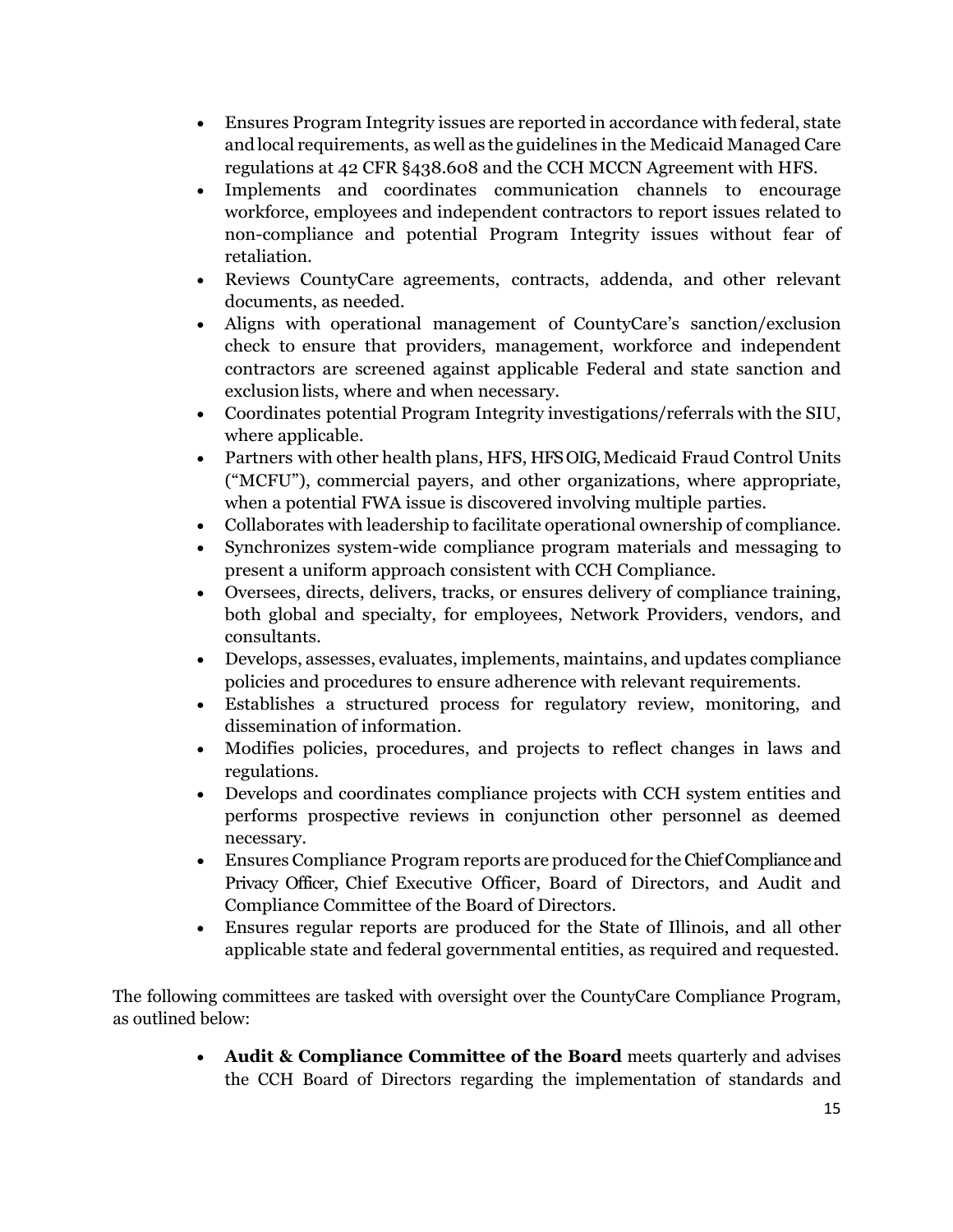- Ensures Program Integrity issues are reported in accordance with federal, state andlocal requirements, as well as the guidelines in the Medicaid Managed Care regulations at 42 CFR §438.608 and the CCH MCCN Agreement with HFS.
- Implements and coordinates communication channels to encourage workforce, employees and independent contractors to report issues related to non-compliance and potential Program Integrity issues without fear of retaliation.
- Reviews CountyCare agreements, contracts, addenda, and other relevant documents, as needed.
- Aligns with operational management of CountyCare's sanction/exclusion check to ensure that providers, management, workforce and independent contractors are screened against applicable Federal and state sanction and exclusion lists, where and when necessary.
- Coordinates potential Program Integrity investigations/referrals with the SIU, where applicable.
- Partners with other health plans, HFS, HFS OIG, Medicaid Fraud Control Units ("MCFU"), commercial payers, and other organizations, where appropriate, when a potential FWA issue is discovered involving multiple parties.
- Collaborates with leadership to facilitate operational ownership of compliance.
- Synchronizes system-wide compliance program materials and messaging to present a uniform approach consistent with CCH Compliance.
- Oversees, directs, delivers, tracks, or ensures delivery of compliance training, both global and specialty, for employees, Network Providers, vendors, and consultants.
- Develops, assesses, evaluates, implements, maintains, and updates compliance policies and procedures to ensure adherence with relevant requirements.
- Establishes a structured process for regulatory review, monitoring, and dissemination of information.
- Modifies policies, procedures, and projects to reflect changes in laws and regulations.
- Develops and coordinates compliance projects with CCH system entities and performs prospective reviews in conjunction other personnel as deemed necessary.
- Ensures Compliance Program reports are produced for the Chief Compliance and Privacy Officer, Chief Executive Officer, Board of Directors, and Audit and Compliance Committee of the Board of Directors.
- Ensures regular reports are produced for the State of Illinois, and all other applicable state and federal governmental entities, as required and requested.

The following committees are tasked with oversight over the CountyCare Compliance Program, as outlined below:

> • **Audit & Compliance Committee of the Board** meets quarterly and advises the CCH Board of Directors regarding the implementation of standards and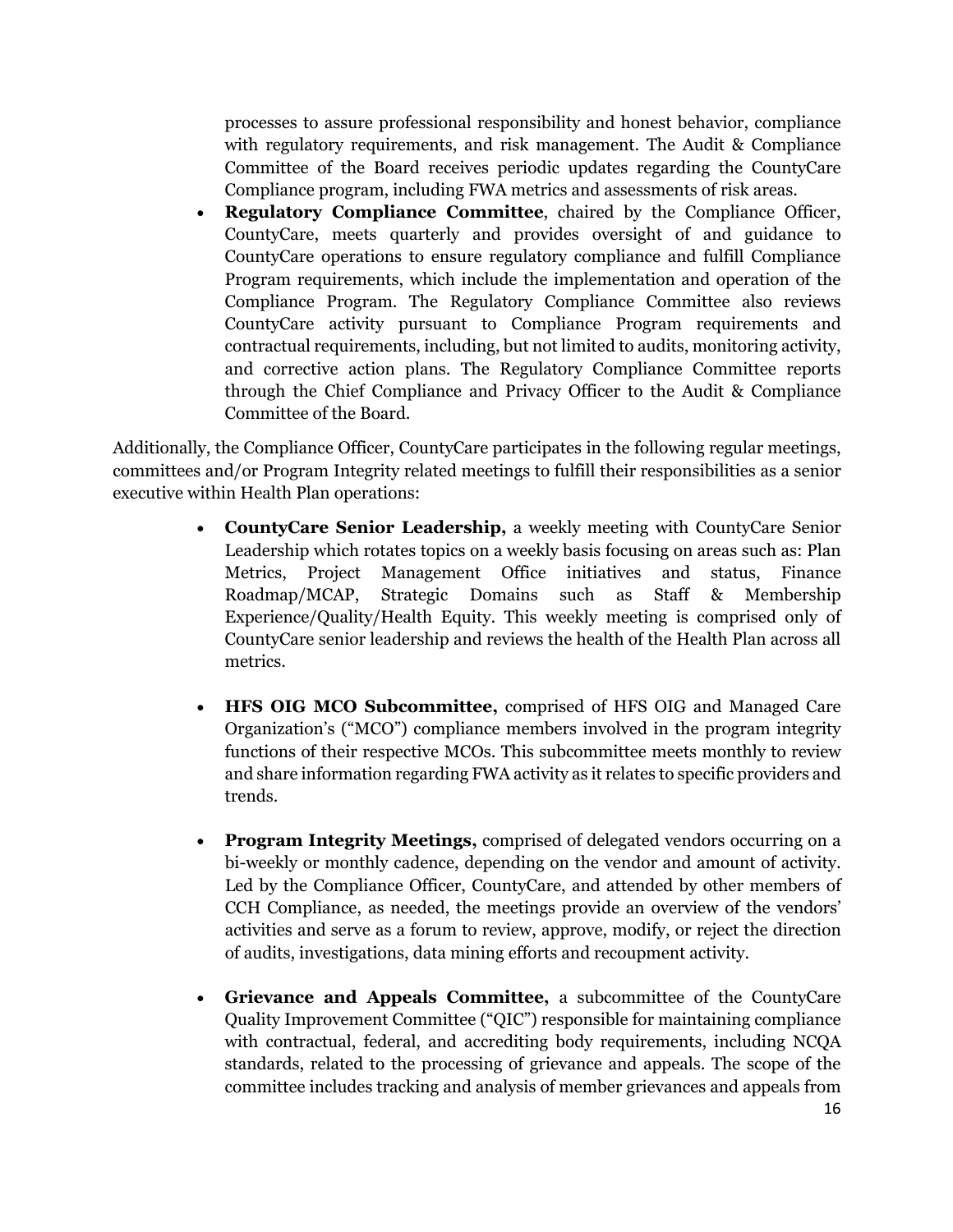processes to assure professional responsibility and honest behavior, compliance with regulatory requirements, and risk management. The Audit & Compliance Committee of the Board receives periodic updates regarding the CountyCare Compliance program, including FWA metrics and assessments of risk areas.

• **Regulatory Compliance Committee**, chaired by the Compliance Officer, CountyCare, meets quarterly and provides oversight of and guidance to CountyCare operations to ensure regulatory compliance and fulfill Compliance Program requirements, which include the implementation and operation of the Compliance Program. The Regulatory Compliance Committee also reviews CountyCare activity pursuant to Compliance Program requirements and contractual requirements, including, but not limited to audits, monitoring activity, and corrective action plans. The Regulatory Compliance Committee reports through the Chief Compliance and Privacy Officer to the Audit & Compliance Committee of the Board.

Additionally, the Compliance Officer, CountyCare participates in the following regular meetings, committees and/or Program Integrity related meetings to fulfill their responsibilities as a senior executive within Health Plan operations:

- **CountyCare Senior Leadership,** a weekly meeting with CountyCare Senior Leadership which rotates topics on a weekly basis focusing on areas such as: Plan Metrics, Project Management Office initiatives and status, Finance Roadmap/MCAP, Strategic Domains such as Staff & Membership Experience/Quality/Health Equity. This weekly meeting is comprised only of CountyCare senior leadership and reviews the health of the Health Plan across all metrics.
- **HFS OIG MCO Subcommittee,** comprised of HFS OIG and Managed Care Organization's ("MCO") compliance members involved in the program integrity functions of their respective MCOs. This subcommittee meets monthly to review and share information regarding FWA activity as it relates to specific providers and trends.
- **Program Integrity Meetings,** comprised of delegated vendors occurring on a bi-weekly or monthly cadence, depending on the vendor and amount of activity. Led by the Compliance Officer, CountyCare, and attended by other members of CCH Compliance, as needed, the meetings provide an overview of the vendors' activities and serve as a forum to review, approve, modify, or reject the direction of audits, investigations, data mining efforts and recoupment activity.
- **Grievance and Appeals Committee,** a subcommittee of the CountyCare Quality Improvement Committee ("QIC") responsible for maintaining compliance with contractual, federal, and accrediting body requirements, including NCQA standards, related to the processing of grievance and appeals. The scope of the committee includes tracking and analysis of member grievances and appeals from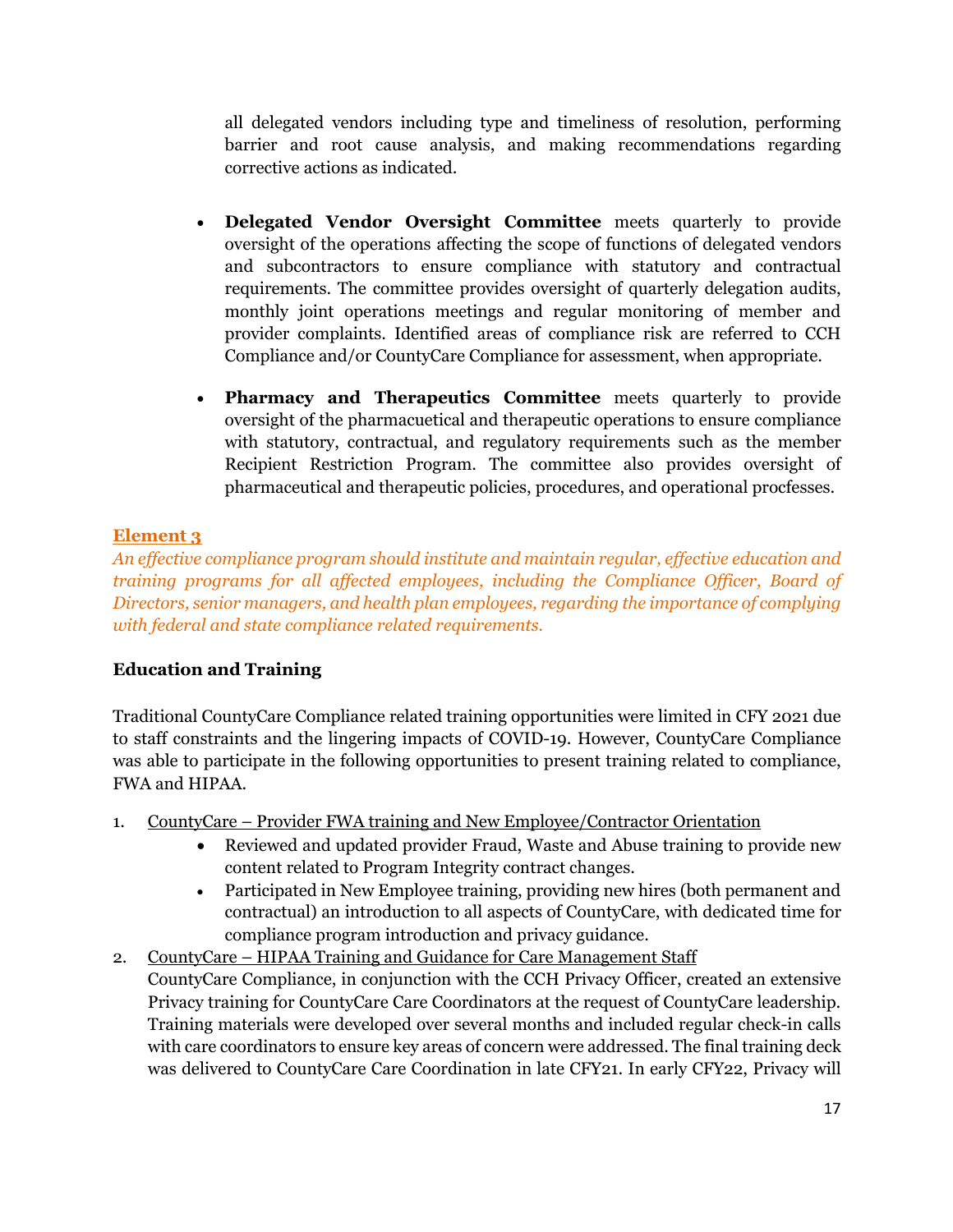all delegated vendors including type and timeliness of resolution, performing barrier and root cause analysis, and making recommendations regarding corrective actions as indicated.

- **Delegated Vendor Oversight Committee** meets quarterly to provide oversight of the operations affecting the scope of functions of delegated vendors and subcontractors to ensure compliance with statutory and contractual requirements. The committee provides oversight of quarterly delegation audits, monthly joint operations meetings and regular monitoring of member and provider complaints. Identified areas of compliance risk are referred to CCH Compliance and/or CountyCare Compliance for assessment, when appropriate.
- **Pharmacy and Therapeutics Committee** meets quarterly to provide oversight of the pharmacuetical and therapeutic operations to ensure compliance with statutory, contractual, and regulatory requirements such as the member Recipient Restriction Program. The committee also provides oversight of pharmaceutical and therapeutic policies, procedures, and operational procfesses.

# **Element 3**

*An effective compliance program should institute and maintain regular, effective education and training programs for all affected employees, including the Compliance Officer, Board of Directors, senior managers, and health plan employees, regarding the importance of complying with federal and state compliance related requirements.*

# **Education and Training**

Traditional CountyCare Compliance related training opportunities were limited in CFY 2021 due to staff constraints and the lingering impacts of COVID-19. However, CountyCare Compliance was able to participate in the following opportunities to present training related to compliance, FWA and HIPAA.

- 1. CountyCare Provider FWA training and New Employee/Contractor Orientation
	- Reviewed and updated provider Fraud, Waste and Abuse training to provide new content related to Program Integrity contract changes.
	- Participated in New Employee training, providing new hires (both permanent and contractual) an introduction to all aspects of CountyCare, with dedicated time for compliance program introduction and privacy guidance.
- 2. CountyCare HIPAA Training and Guidance for Care Management Staff CountyCare Compliance, in conjunction with the CCH Privacy Officer, created an extensive Privacy training for CountyCare Care Coordinators at the request of CountyCare leadership. Training materials were developed over several months and included regular check-in calls with care coordinators to ensure key areas of concern were addressed. The final training deck was delivered to CountyCare Care Coordination in late CFY21. In early CFY22, Privacy will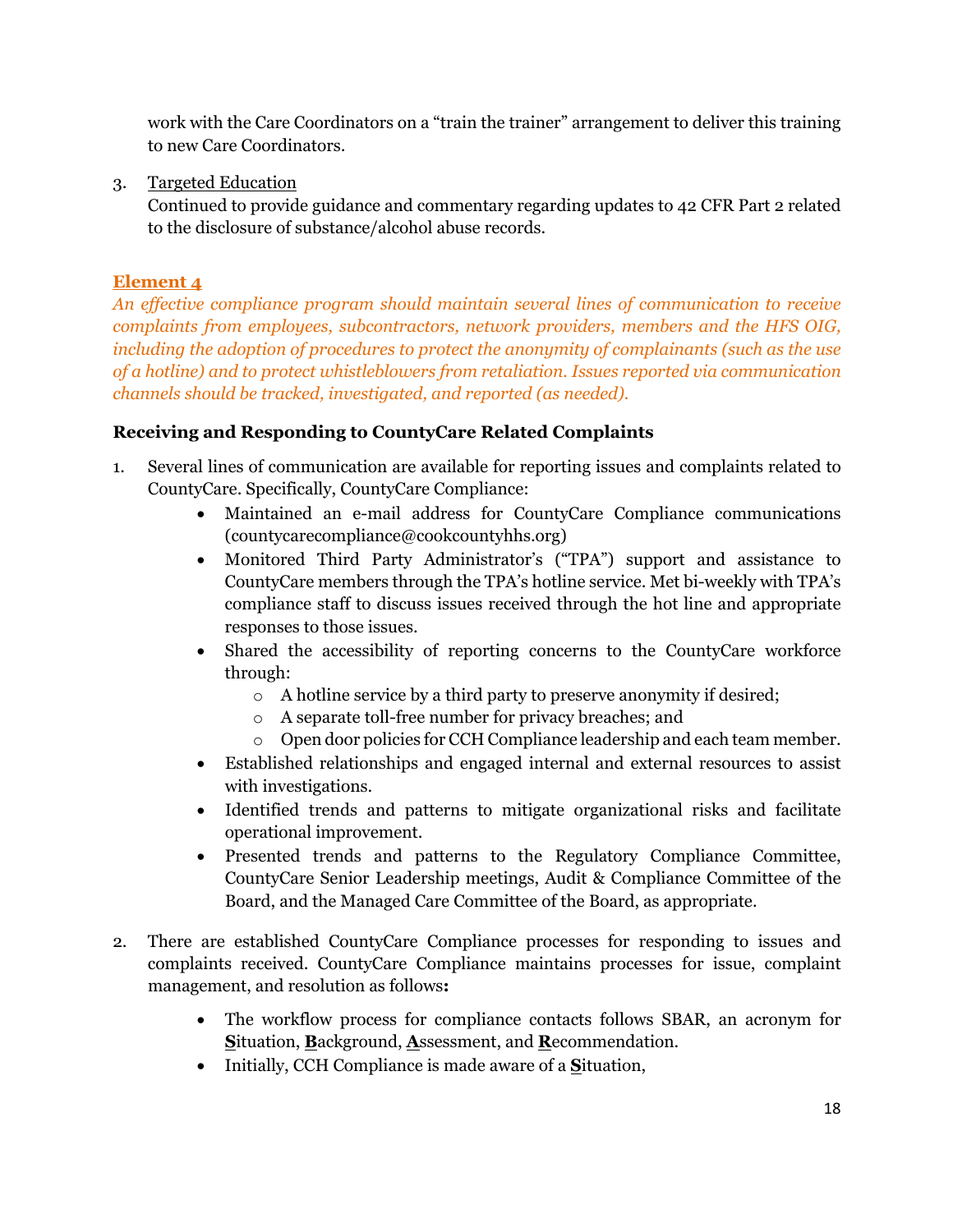work with the Care Coordinators on a "train the trainer" arrangement to deliver this training to new Care Coordinators.

3. Targeted Education

Continued to provide guidance and commentary regarding updates to 42 CFR Part 2 related to the disclosure of substance/alcohol abuse records.

# **Element 4**

*An effective compliance program should maintain several lines of communication to receive complaints from employees, subcontractors, network providers, members and the HFS OIG, including the adoption of procedures to protect the anonymity of complainants (such as the use of a hotline) and to protect whistleblowers from retaliation. Issues reported via communication channels should be tracked, investigated, and reported (as needed).*

# **Receiving and Responding to CountyCare Related Complaints**

- 1. Several lines of communication are available for reporting issues and complaints related to CountyCare. Specifically, CountyCare Compliance:
	- Maintained an e-mail address for CountyCare Compliance communications (countycarecompliance@cookcountyhhs.org)
	- Monitored Third Party Administrator's ("TPA") support and assistance to CountyCare members through the TPA's hotline service. Met bi-weekly with TPA's compliance staff to discuss issues received through the hot line and appropriate responses to those issues.
	- Shared the accessibility of reporting concerns to the CountyCare workforce through:
		- o A hotline service by a third party to preserve anonymity if desired;
		- o A separate toll-free number for privacy breaches; and
		- o Open door policies for CCH Compliance leadership and each team member.
	- Established relationships and engaged internal and external resources to assist with investigations.
	- Identified trends and patterns to mitigate organizational risks and facilitate operational improvement.
	- Presented trends and patterns to the Regulatory Compliance Committee, CountyCare Senior Leadership meetings, Audit & Compliance Committee of the Board, and the Managed Care Committee of the Board, as appropriate.
- 2. There are established CountyCare Compliance processes for responding to issues and complaints received. CountyCare Compliance maintains processes for issue, complaint management, and resolution as follows**:**
	- The workflow process for compliance contacts follows SBAR, an acronym for **S**ituation, **B**ackground, **A**ssessment, and **R**ecommendation.
	- Initially, CCH Compliance is made aware of a **S**ituation,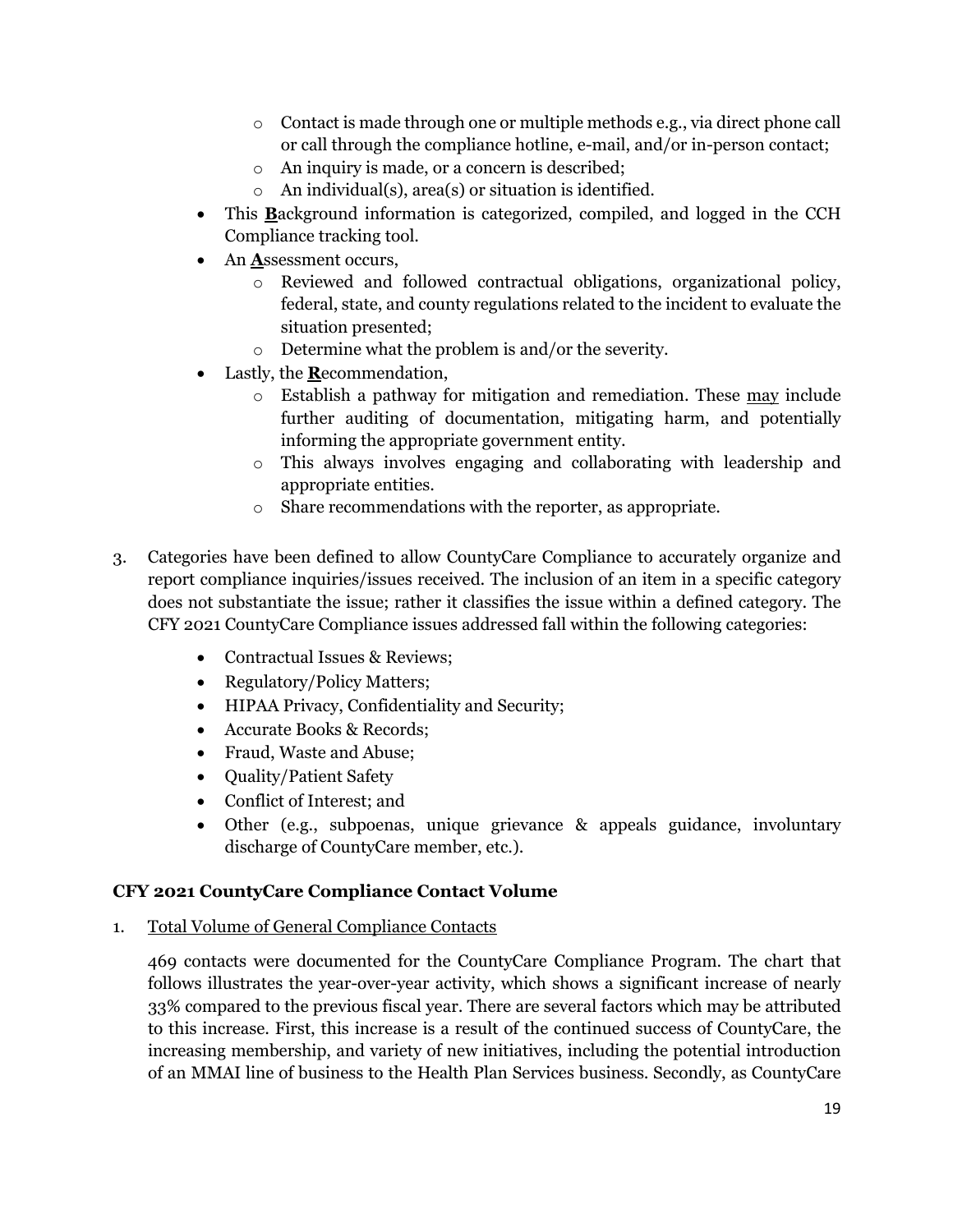- $\circ$  Contact is made through one or multiple methods e.g., via direct phone call or call through the compliance hotline, e-mail, and/or in-person contact;
- o An inquiry is made, or a concern is described;
- $\circ$  An individual(s), area(s) or situation is identified.
- This **B**ackground information is categorized, compiled, and logged in the CCH Compliance tracking tool.
- An **A**ssessment occurs,
	- o Reviewed and followed contractual obligations, organizational policy, federal, state, and county regulations related to the incident to evaluate the situation presented;
	- o Determine what the problem is and/or the severity.
- Lastly, the **R**ecommendation,
	- o Establish a pathway for mitigation and remediation. These may include further auditing of documentation, mitigating harm, and potentially informing the appropriate government entity.
	- o This always involves engaging and collaborating with leadership and appropriate entities.
	- o Share recommendations with the reporter, as appropriate.
- 3. Categories have been defined to allow CountyCare Compliance to accurately organize and report compliance inquiries/issues received. The inclusion of an item in a specific category does not substantiate the issue; rather it classifies the issue within a defined category. The CFY 2021 CountyCare Compliance issues addressed fall within the following categories:
	- Contractual Issues & Reviews;
	- Regulatory/Policy Matters;
	- HIPAA Privacy, Confidentiality and Security;
	- Accurate Books & Records;
	- Fraud, Waste and Abuse;
	- **Quality/Patient Safety**
	- Conflict of Interest; and
	- Other (e.g., subpoenas, unique grievance & appeals guidance, involuntary discharge of CountyCare member, etc.).

# **CFY 2021 CountyCare Compliance Contact Volume**

1. Total Volume of General Compliance Contacts

469 contacts were documented for the CountyCare Compliance Program. The chart that follows illustrates the year-over-year activity, which shows a significant increase of nearly 33% compared to the previous fiscal year. There are several factors which may be attributed to this increase. First, this increase is a result of the continued success of CountyCare, the increasing membership, and variety of new initiatives, including the potential introduction of an MMAI line of business to the Health Plan Services business. Secondly, as CountyCare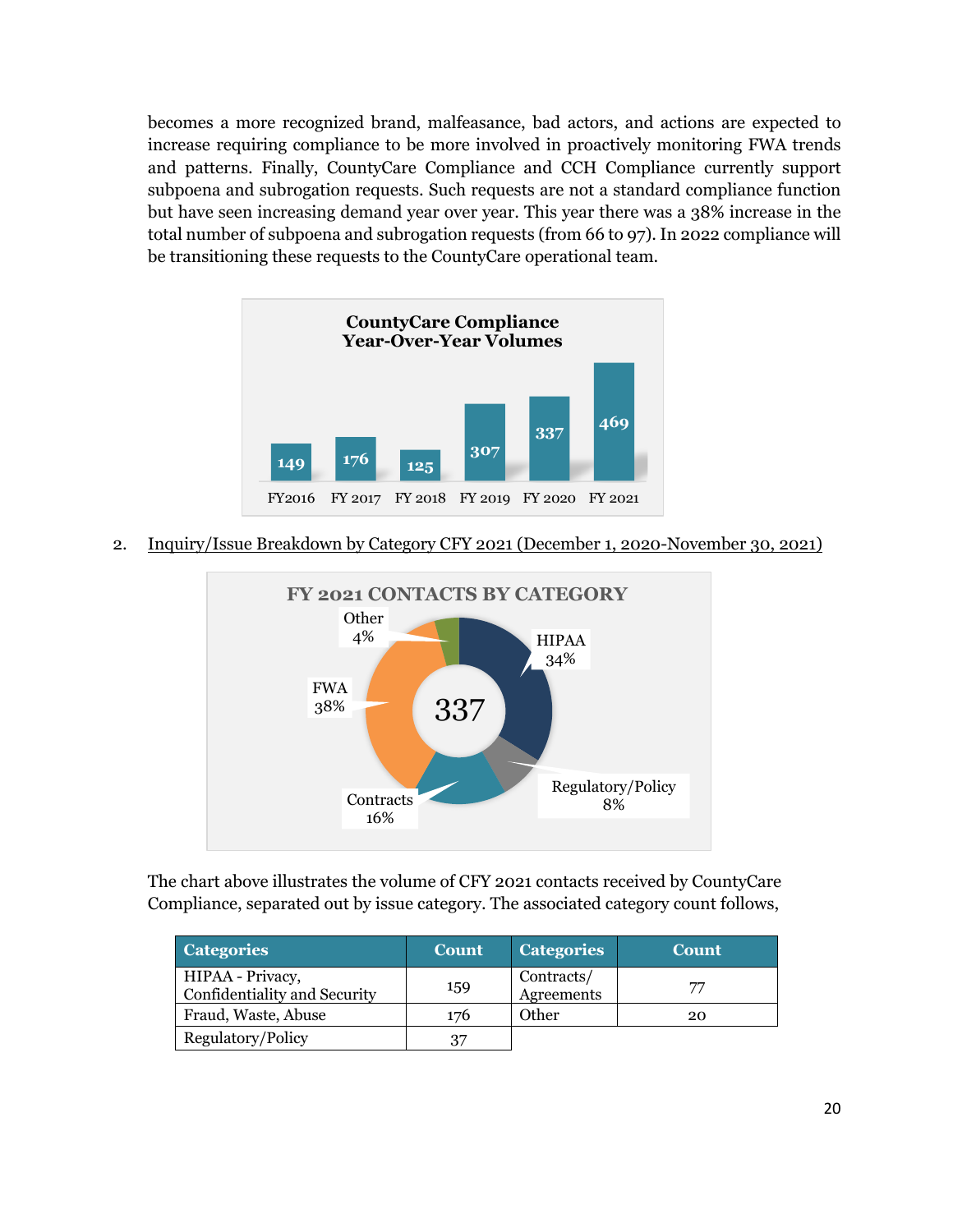becomes a more recognized brand, malfeasance, bad actors, and actions are expected to increase requiring compliance to be more involved in proactively monitoring FWA trends and patterns. Finally, CountyCare Compliance and CCH Compliance currently support subpoena and subrogation requests. Such requests are not a standard compliance function but have seen increasing demand year over year. This year there was a 38% increase in the total number of subpoena and subrogation requests (from 66 to 97). In 2022 compliance will be transitioning these requests to the CountyCare operational team.



2. Inquiry/Issue Breakdown by Category CFY 2021 (December 1, 2020-November 30, 2021)



The chart above illustrates the volume of CFY 2021 contacts received by CountyCare Compliance, separated out by issue category. The associated category count follows,

| <b>Categories</b>                                | <b>Count</b> | <b>Categories</b>               | <b>Count</b> |
|--------------------------------------------------|--------------|---------------------------------|--------------|
| HIPAA - Privacy,<br>Confidentiality and Security | 159          | Contracts/<br><b>Agreements</b> | 77           |
| Fraud, Waste, Abuse                              | 176          | Other                           | 20           |
| Regulatory/Policy                                | 37           |                                 |              |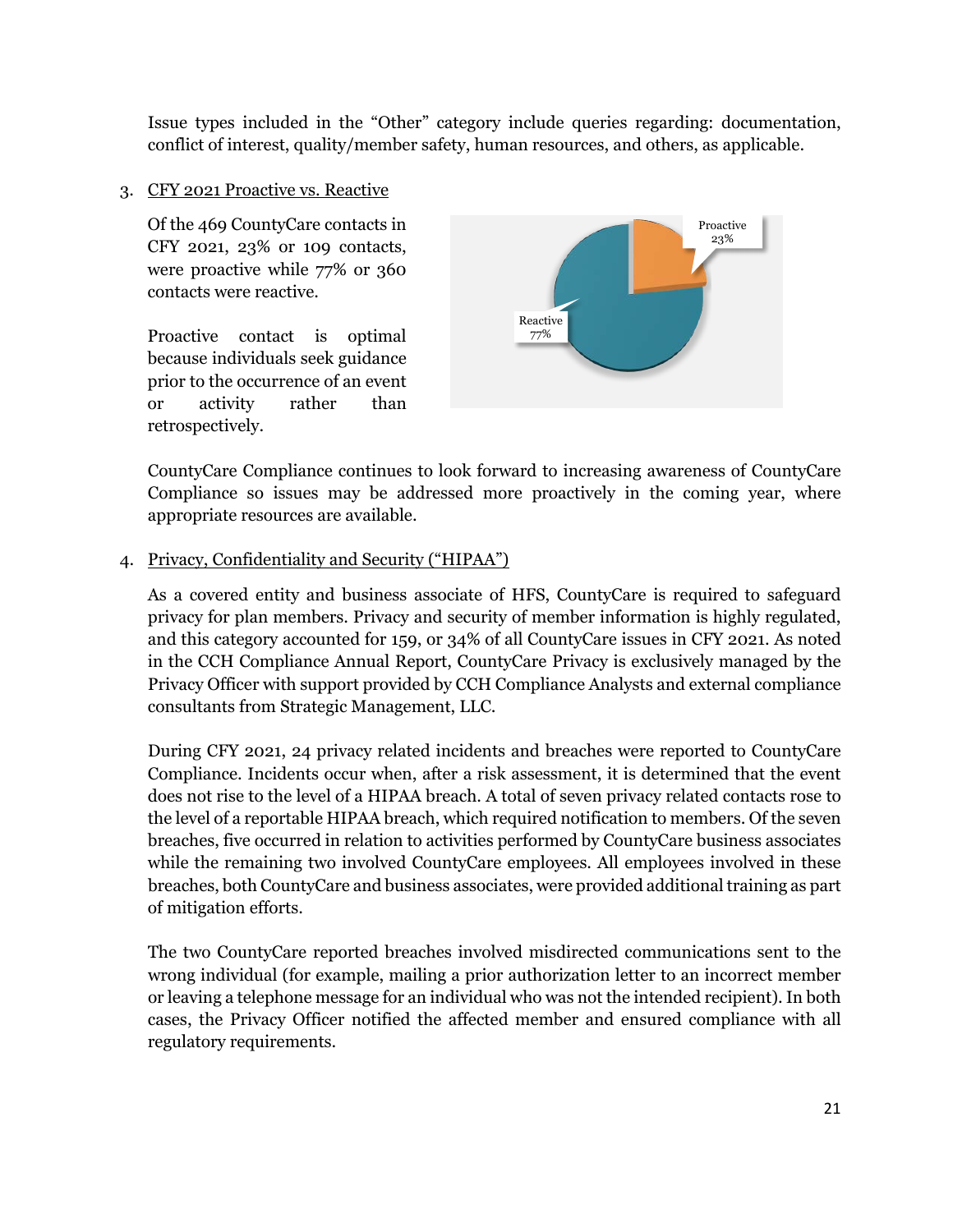Issue types included in the "Other" category include queries regarding: documentation, conflict of interest, quality/member safety, human resources, and others, as applicable.

#### 3. CFY 2021 Proactive vs. Reactive

Of the 469 CountyCare contacts in CFY 2021, 23% or 109 contacts, were proactive while 77% or 360 contacts were reactive.

Proactive contact is optimal because individuals seek guidance prior to the occurrence of an event or activity rather than retrospectively.



CountyCare Compliance continues to look forward to increasing awareness of CountyCare Compliance so issues may be addressed more proactively in the coming year, where appropriate resources are available.

#### 4. Privacy, Confidentiality and Security ("HIPAA")

As a covered entity and business associate of HFS, CountyCare is required to safeguard privacy for plan members. Privacy and security of member information is highly regulated, and this category accounted for 159, or 34% of all CountyCare issues in CFY 2021. As noted in the CCH Compliance Annual Report, CountyCare Privacy is exclusively managed by the Privacy Officer with support provided by CCH Compliance Analysts and external compliance consultants from Strategic Management, LLC.

During CFY 2021, 24 privacy related incidents and breaches were reported to CountyCare Compliance. Incidents occur when, after a risk assessment, it is determined that the event does not rise to the level of a HIPAA breach. A total of seven privacy related contacts rose to the level of a reportable HIPAA breach, which required notification to members. Of the seven breaches, five occurred in relation to activities performed by CountyCare business associates while the remaining two involved CountyCare employees. All employees involved in these breaches, both CountyCare and business associates, were provided additional training as part of mitigation efforts.

The two CountyCare reported breaches involved misdirected communications sent to the wrong individual (for example, mailing a prior authorization letter to an incorrect member or leaving a telephone message for an individual who was not the intended recipient). In both cases, the Privacy Officer notified the affected member and ensured compliance with all regulatory requirements.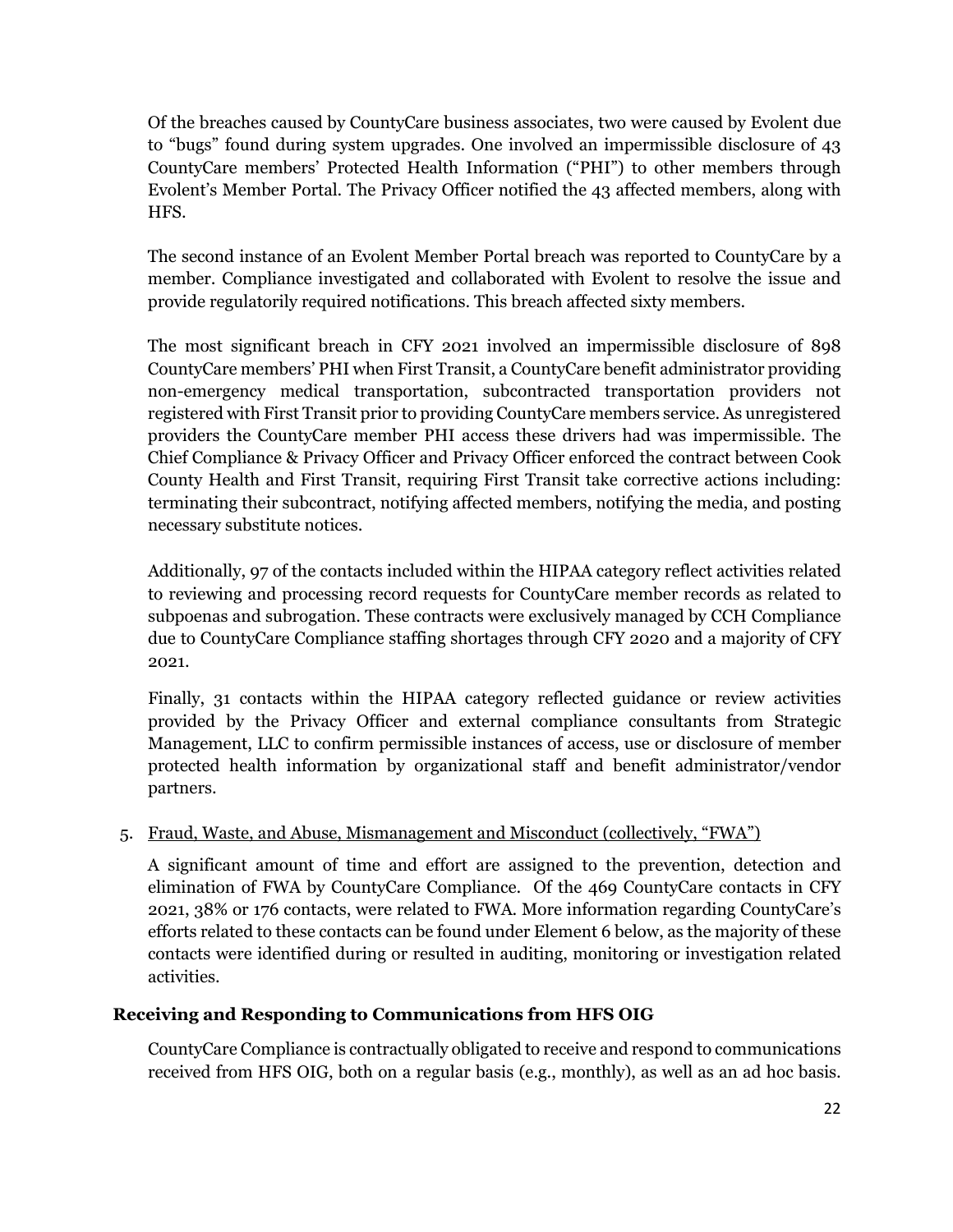Of the breaches caused by CountyCare business associates, two were caused by Evolent due to "bugs" found during system upgrades. One involved an impermissible disclosure of 43 CountyCare members' Protected Health Information ("PHI") to other members through Evolent's Member Portal. The Privacy Officer notified the 43 affected members, along with HFS.

The second instance of an Evolent Member Portal breach was reported to CountyCare by a member. Compliance investigated and collaborated with Evolent to resolve the issue and provide regulatorily required notifications. This breach affected sixty members.

The most significant breach in CFY 2021 involved an impermissible disclosure of 898 CountyCare members' PHI when First Transit, a CountyCare benefit administrator providing non-emergency medical transportation, subcontracted transportation providers not registered with First Transit prior to providing CountyCare members service. As unregistered providers the CountyCare member PHI access these drivers had was impermissible. The Chief Compliance & Privacy Officer and Privacy Officer enforced the contract between Cook County Health and First Transit, requiring First Transit take corrective actions including: terminating their subcontract, notifying affected members, notifying the media, and posting necessary substitute notices.

Additionally, 97 of the contacts included within the HIPAA category reflect activities related to reviewing and processing record requests for CountyCare member records as related to subpoenas and subrogation. These contracts were exclusively managed by CCH Compliance due to CountyCare Compliance staffing shortages through CFY 2020 and a majority of CFY 2021.

Finally, 31 contacts within the HIPAA category reflected guidance or review activities provided by the Privacy Officer and external compliance consultants from Strategic Management, LLC to confirm permissible instances of access, use or disclosure of member protected health information by organizational staff and benefit administrator/vendor partners.

# 5. Fraud, Waste, and Abuse, Mismanagement and Misconduct (collectively, "FWA")

A significant amount of time and effort are assigned to the prevention, detection and elimination of FWA by CountyCare Compliance. Of the 469 CountyCare contacts in CFY 2021, 38% or 176 contacts, were related to FWA. More information regarding CountyCare's efforts related to these contacts can be found under Element 6 below, as the majority of these contacts were identified during or resulted in auditing, monitoring or investigation related activities.

#### **Receiving and Responding to Communications from HFS OIG**

CountyCare Compliance is contractually obligated to receive and respond to communications received from HFS OIG, both on a regular basis (e.g., monthly), as well as an ad hoc basis.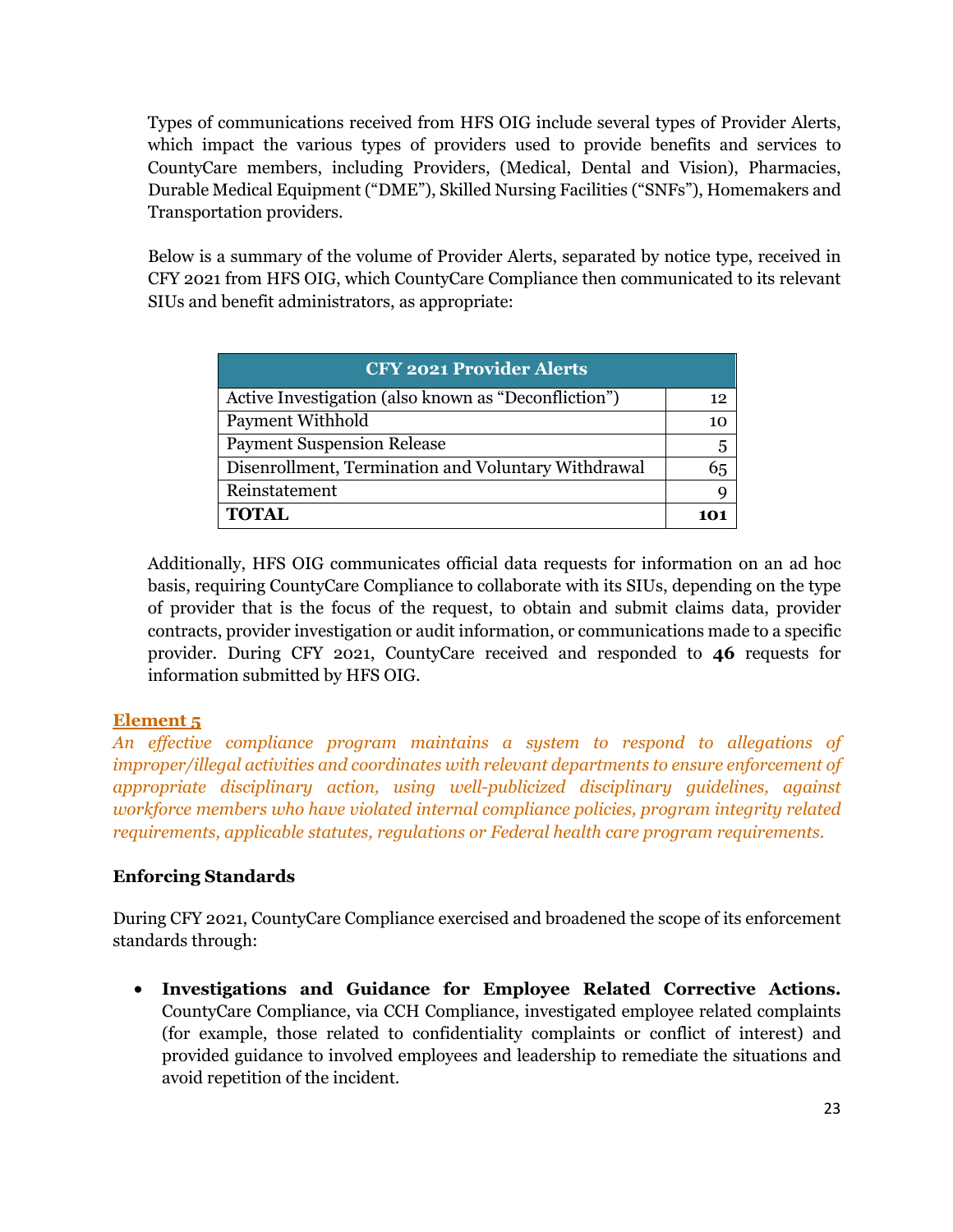Types of communications received from HFS OIG include several types of Provider Alerts, which impact the various types of providers used to provide benefits and services to CountyCare members, including Providers, (Medical, Dental and Vision), Pharmacies, Durable Medical Equipment ("DME"), Skilled Nursing Facilities ("SNFs"), Homemakers and Transportation providers.

Below is a summary of the volume of Provider Alerts, separated by notice type, received in CFY 2021 from HFS OIG, which CountyCare Compliance then communicated to its relevant SIUs and benefit administrators, as appropriate:

| <b>CFY 2021 Provider Alerts</b>                      |    |
|------------------------------------------------------|----|
| Active Investigation (also known as "Deconfliction") | 12 |
| <b>Payment Withhold</b>                              | 10 |
| <b>Payment Suspension Release</b>                    | 5  |
| Disenrollment, Termination and Voluntary Withdrawal  | 65 |
| Reinstatement                                        |    |
| <b>TOTAL</b>                                         |    |

Additionally, HFS OIG communicates official data requests for information on an ad hoc basis, requiring CountyCare Compliance to collaborate with its SIUs, depending on the type of provider that is the focus of the request, to obtain and submit claims data, provider contracts, provider investigation or audit information, or communications made to a specific provider. During CFY 2021, CountyCare received and responded to **46** requests for information submitted by HFS OIG.

# **Element 5**

*An effective compliance program maintains a system to respond to allegations of improper/illegal activities and coordinates with relevant departments to ensure enforcement of appropriate disciplinary action, using well-publicized disciplinary guidelines, against workforce members who have violated internal compliance policies, program integrity related requirements, applicable statutes, regulations or Federal health care program requirements.*

# **Enforcing Standards**

During CFY 2021, CountyCare Compliance exercised and broadened the scope of its enforcement standards through:

• **Investigations and Guidance for Employee Related Corrective Actions.** CountyCare Compliance, via CCH Compliance, investigated employee related complaints (for example, those related to confidentiality complaints or conflict of interest) and provided guidance to involved employees and leadership to remediate the situations and avoid repetition of the incident.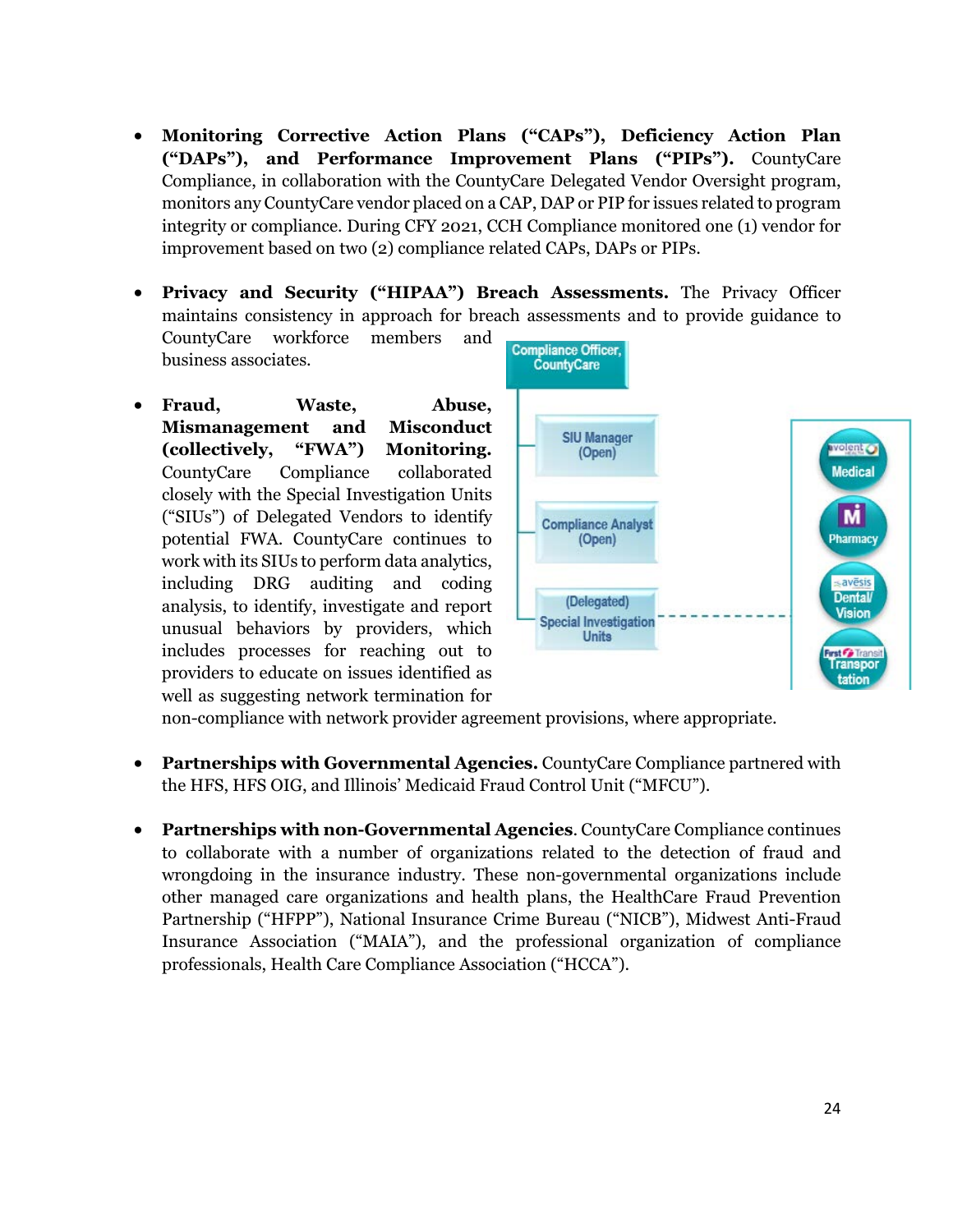- **Monitoring Corrective Action Plans ("CAPs"), Deficiency Action Plan ("DAPs"), and Performance Improvement Plans ("PIPs").** CountyCare Compliance, in collaboration with the CountyCare Delegated Vendor Oversight program, monitors any CountyCare vendor placed on a CAP, DAP or PIP for issues related to program integrity or compliance. During CFY 2021, CCH Compliance monitored one (1) vendor for improvement based on two (2) compliance related CAPs, DAPs or PIPs.
- **Privacy and Security ("HIPAA") Breach Assessments.** The Privacy Officer maintains consistency in approach for breach assessments and to provide guidance to

CountyCare workforce members and business associates.

• **Fraud, Waste, Abuse, Mismanagement and Misconduct (collectively, "FWA") Monitoring.** CountyCare Compliance collaborated closely with the Special Investigation Units ("SIUs") of Delegated Vendors to identify potential FWA. CountyCare continues to work with its SIUs to perform data analytics, including DRG auditing and coding analysis, to identify, investigate and report unusual behaviors by providers, which includes processes for reaching out to providers to educate on issues identified as well as suggesting network termination for



non-compliance with network provider agreement provisions, where appropriate.

- **Partnerships with Governmental Agencies.** CountyCare Compliance partnered with the HFS, HFS OIG, and Illinois' Medicaid Fraud Control Unit ("MFCU").
- **Partnerships with non-Governmental Agencies**. CountyCare Compliance continues to collaborate with a number of organizations related to the detection of fraud and wrongdoing in the insurance industry. These non-governmental organizations include other managed care organizations and health plans, the HealthCare Fraud Prevention Partnership ("HFPP"), National Insurance Crime Bureau ("NICB"), Midwest Anti-Fraud Insurance Association ("MAIA"), and the professional organization of compliance professionals, Health Care Compliance Association ("HCCA").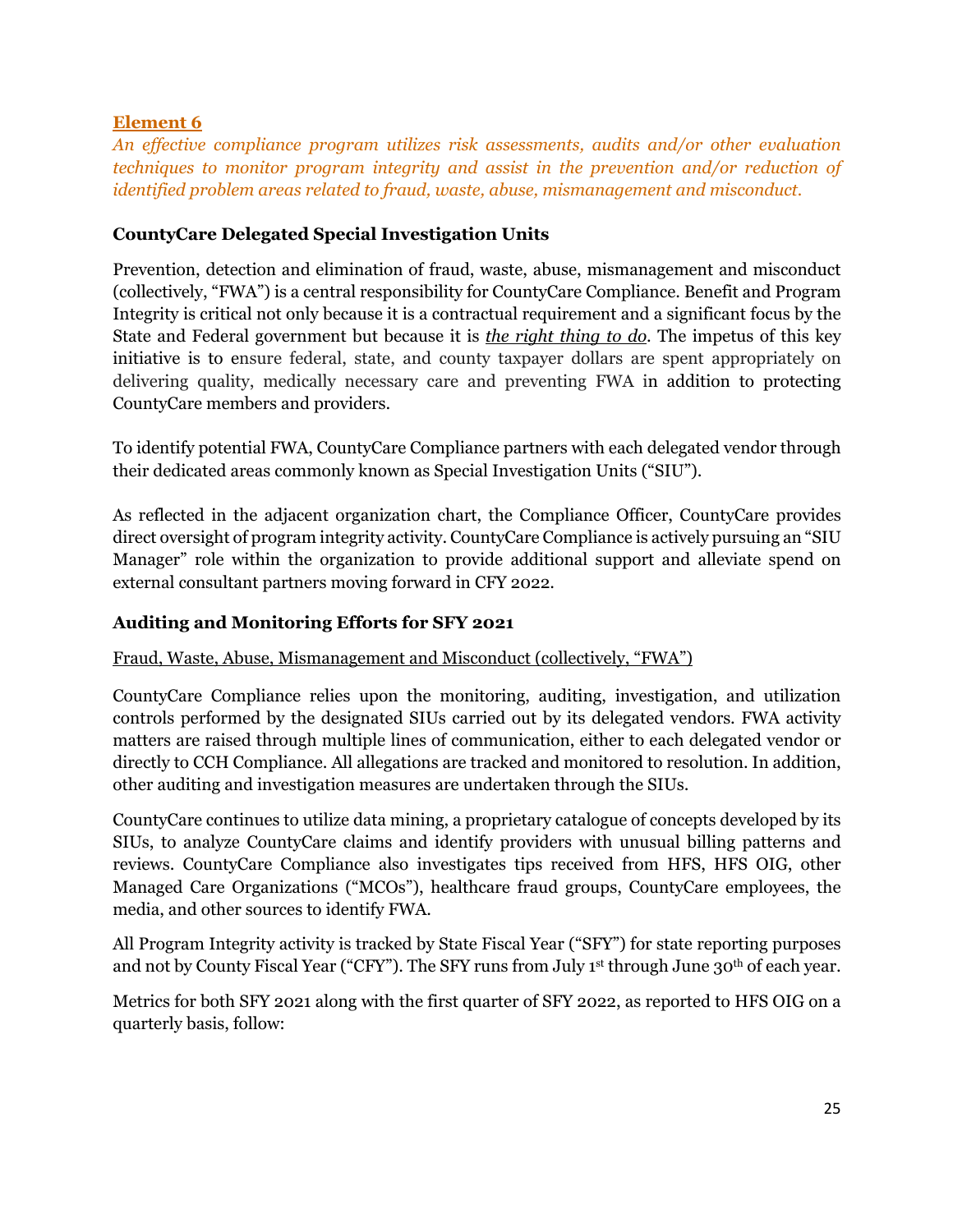# **Element 6**

*An effective compliance program utilizes risk assessments, audits and/or other evaluation techniques to monitor program integrity and assist in the prevention and/or reduction of identified problem areas related to fraud, waste, abuse, mismanagement and misconduct.* 

# **CountyCare Delegated Special Investigation Units**

Prevention, detection and elimination of fraud, waste, abuse, mismanagement and misconduct (collectively, "FWA") is a central responsibility for CountyCare Compliance. Benefit and Program Integrity is critical not only because it is a contractual requirement and a significant focus by the State and Federal government but because it is *the right thing to do*. The impetus of this key initiative is to ensure federal, state, and county taxpayer dollars are spent appropriately on delivering quality, medically necessary care and preventing FWA in addition to protecting CountyCare members and providers.

To identify potential FWA, CountyCare Compliance partners with each delegated vendor through their dedicated areas commonly known as Special Investigation Units ("SIU").

As reflected in the adjacent organization chart, the Compliance Officer, CountyCare provides direct oversight of program integrity activity. CountyCare Compliance is actively pursuing an "SIU Manager" role within the organization to provide additional support and alleviate spend on external consultant partners moving forward in CFY 2022.

# **Auditing and Monitoring Efforts for SFY 2021**

# Fraud, Waste, Abuse, Mismanagement and Misconduct (collectively, "FWA")

CountyCare Compliance relies upon the monitoring, auditing, investigation, and utilization controls performed by the designated SIUs carried out by its delegated vendors. FWA activity matters are raised through multiple lines of communication, either to each delegated vendor or directly to CCH Compliance. All allegations are tracked and monitored to resolution. In addition, other auditing and investigation measures are undertaken through the SIUs.

CountyCare continues to utilize data mining, a proprietary catalogue of concepts developed by its SIUs, to analyze CountyCare claims and identify providers with unusual billing patterns and reviews. CountyCare Compliance also investigates tips received from HFS, HFS OIG, other Managed Care Organizations ("MCOs"), healthcare fraud groups, CountyCare employees, the media, and other sources to identify FWA.

All Program Integrity activity is tracked by State Fiscal Year ("SFY") for state reporting purposes and not by County Fiscal Year ("CFY"). The SFY runs from July 1st through June 30<sup>th</sup> of each year.

Metrics for both SFY 2021 along with the first quarter of SFY 2022, as reported to HFS OIG on a quarterly basis, follow: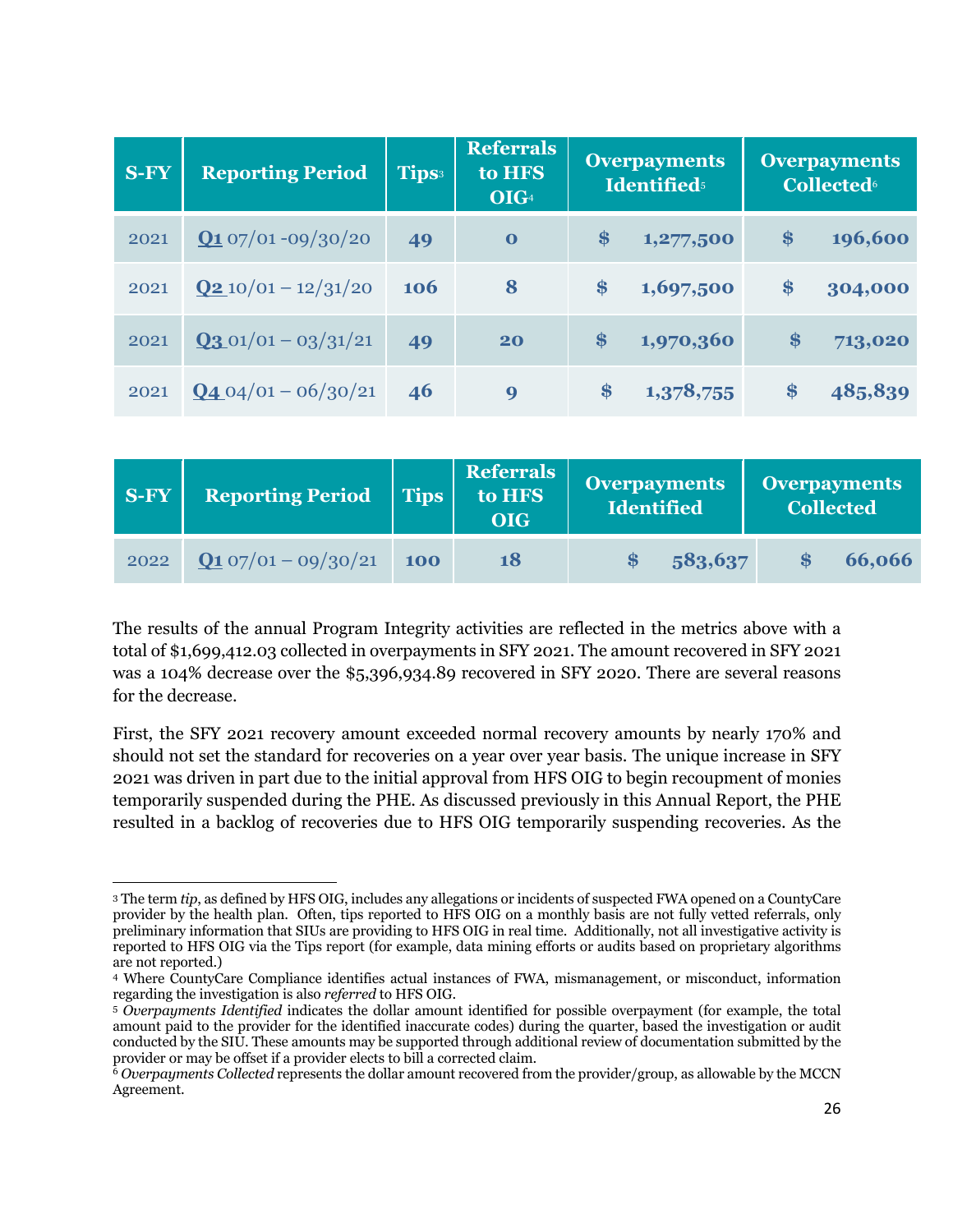| <b>S-FY</b> | <b>Reporting Period</b>          | Tips <sup>3</sup> | <b>Referrals</b><br>to HFS<br>OIG <sub>4</sub> | <b>Overpayments</b><br><b>Identified</b> <sup>5</sup> |           | <b>Overpayments</b><br><b>Collected</b> <sup>6</sup> |
|-------------|----------------------------------|-------------------|------------------------------------------------|-------------------------------------------------------|-----------|------------------------------------------------------|
| 2021        | $Q_1$ 07/01 -09/30/20            | 49                | $\bf{0}$                                       | \$                                                    | 1,277,500 | \$<br>196,600                                        |
| 2021        | $Q2 10/01 - 12/31/20$            | <b>106</b>        | 8                                              | \$                                                    | 1,697,500 | \$<br>304,000                                        |
| 2021        | $Q3.01/01 - 03/31/21$            | 49                | 20                                             | $\$\$                                                 | 1,970,360 | \$<br>713,020                                        |
| 2021        | $\frac{Q_4 Q_4}{Q_1 - 06/30/21}$ | 46                | 9                                              | \$                                                    | 1,378,755 | \$<br>485,839                                        |

| <b>S-FY</b> | <b>Reporting Period</b> | <b>Tips</b> | <b>Referrals</b><br>to HFS<br><b>OIG</b> | <b>Overpayments</b><br>Identified | <b>Overpayments</b><br><b>Collected</b> |
|-------------|-------------------------|-------------|------------------------------------------|-----------------------------------|-----------------------------------------|
| 2022        | $Q1 07/01 - 09/30/21$   | <b>100</b>  | 18                                       | 583,637<br>- 8                    | 66,066<br><b>S</b>                      |

The results of the annual Program Integrity activities are reflected in the metrics above with a total of \$1,699,412.03 collected in overpayments in SFY 2021. The amount recovered in SFY 2021 was a 104% decrease over the \$5,396,934.89 recovered in SFY 2020. There are several reasons for the decrease.

First, the SFY 2021 recovery amount exceeded normal recovery amounts by nearly 170% and should not set the standard for recoveries on a year over year basis. The unique increase in SFY 2021 was driven in part due to the initial approval from HFS OIG to begin recoupment of monies temporarily suspended during the PHE. As discussed previously in this Annual Report, the PHE resulted in a backlog of recoveries due to HFS OIG temporarily suspending recoveries. As the

<sup>3</sup> The term *tip*, as defined by HFS OIG, includes any allegations or incidents of suspected FWA opened on a CountyCare provider by the health plan. Often, tips reported to HFS OIG on a monthly basis are not fully vetted referrals, only preliminary information that SIUs are providing to HFS OIG in real time. Additionally, not all investigative activity is reported to HFS OIG via the Tips report (for example, data mining efforts or audits based on proprietary algorithms are not reported.)

<sup>4</sup> Where CountyCare Compliance identifies actual instances of FWA, mismanagement, or misconduct, information regarding the investigation is also *referred* to HFS OIG.

<sup>5</sup> *Overpayments Identified* indicates the dollar amount identified for possible overpayment (for example, the total amount paid to the provider for the identified inaccurate codes) during the quarter, based the investigation or audit conducted by the SIU. These amounts may be supported through additional review of documentation submitted by the provider or may be offset if a provider elects to bill a corrected claim.

<sup>6</sup> *Overpayments Collected* represents the dollar amount recovered from the provider/group, as allowable by the MCCN Agreement.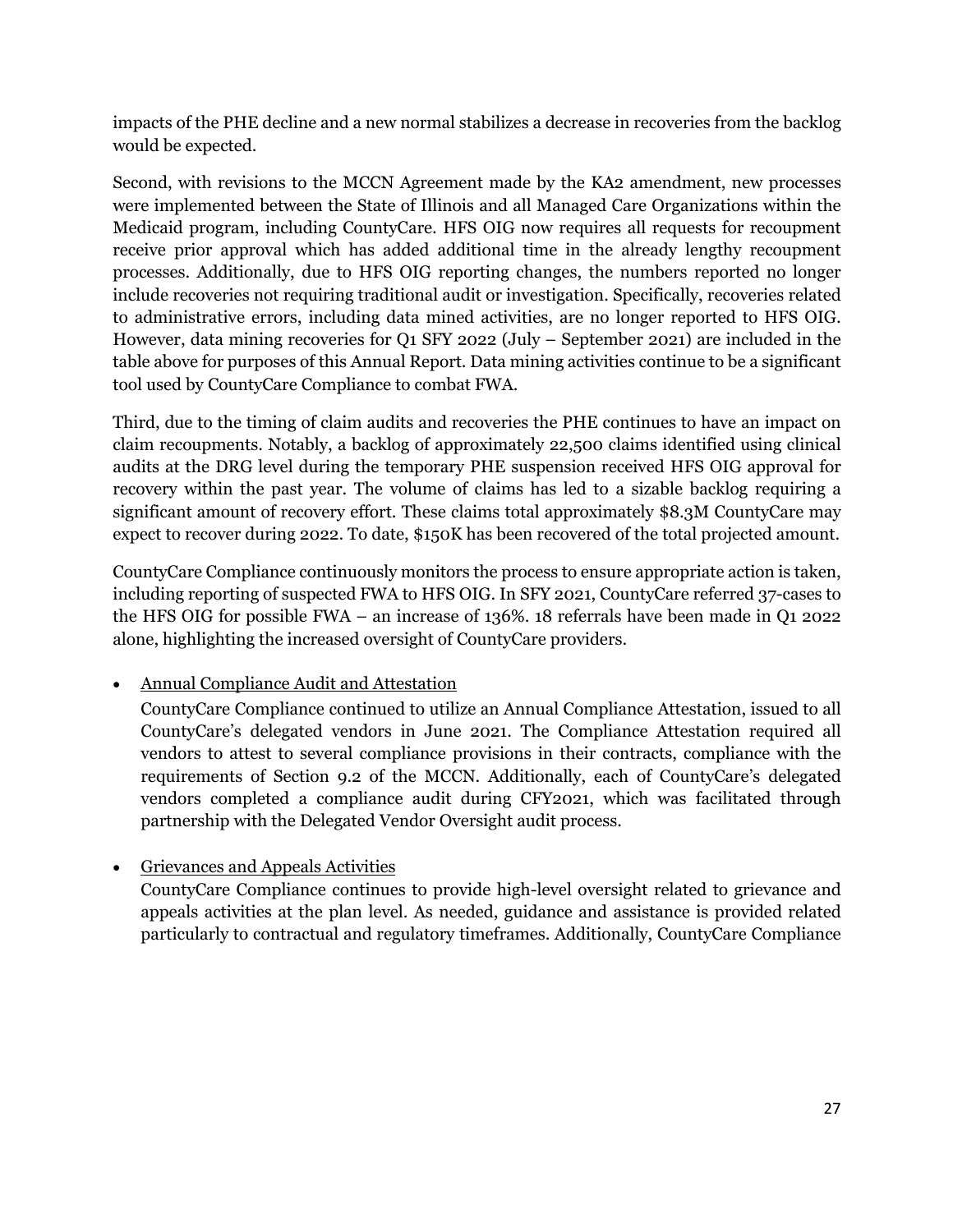impacts of the PHE decline and a new normal stabilizes a decrease in recoveries from the backlog would be expected.

Second, with revisions to the MCCN Agreement made by the KA2 amendment, new processes were implemented between the State of Illinois and all Managed Care Organizations within the Medicaid program, including CountyCare. HFS OIG now requires all requests for recoupment receive prior approval which has added additional time in the already lengthy recoupment processes. Additionally, due to HFS OIG reporting changes, the numbers reported no longer include recoveries not requiring traditional audit or investigation. Specifically, recoveries related to administrative errors, including data mined activities, are no longer reported to HFS OIG. However, data mining recoveries for Q1 SFY 2022 (July – September 2021) are included in the table above for purposes of this Annual Report. Data mining activities continue to be a significant tool used by CountyCare Compliance to combat FWA.

Third, due to the timing of claim audits and recoveries the PHE continues to have an impact on claim recoupments. Notably, a backlog of approximately 22,500 claims identified using clinical audits at the DRG level during the temporary PHE suspension received HFS OIG approval for recovery within the past year. The volume of claims has led to a sizable backlog requiring a significant amount of recovery effort. These claims total approximately \$8.3M CountyCare may expect to recover during 2022. To date, \$150K has been recovered of the total projected amount.

CountyCare Compliance continuously monitors the process to ensure appropriate action is taken, including reporting of suspected FWA to HFS OIG. In SFY 2021, CountyCare referred 37-cases to the HFS OIG for possible FWA – an increase of 136%. 18 referrals have been made in Q1 2022 alone, highlighting the increased oversight of CountyCare providers.

• Annual Compliance Audit and Attestation

CountyCare Compliance continued to utilize an Annual Compliance Attestation, issued to all CountyCare's delegated vendors in June 2021. The Compliance Attestation required all vendors to attest to several compliance provisions in their contracts, compliance with the requirements of Section 9.2 of the MCCN. Additionally, each of CountyCare's delegated vendors completed a compliance audit during CFY2021, which was facilitated through partnership with the Delegated Vendor Oversight audit process.

• Grievances and Appeals Activities

CountyCare Compliance continues to provide high-level oversight related to grievance and appeals activities at the plan level. As needed, guidance and assistance is provided related particularly to contractual and regulatory timeframes. Additionally, CountyCare Compliance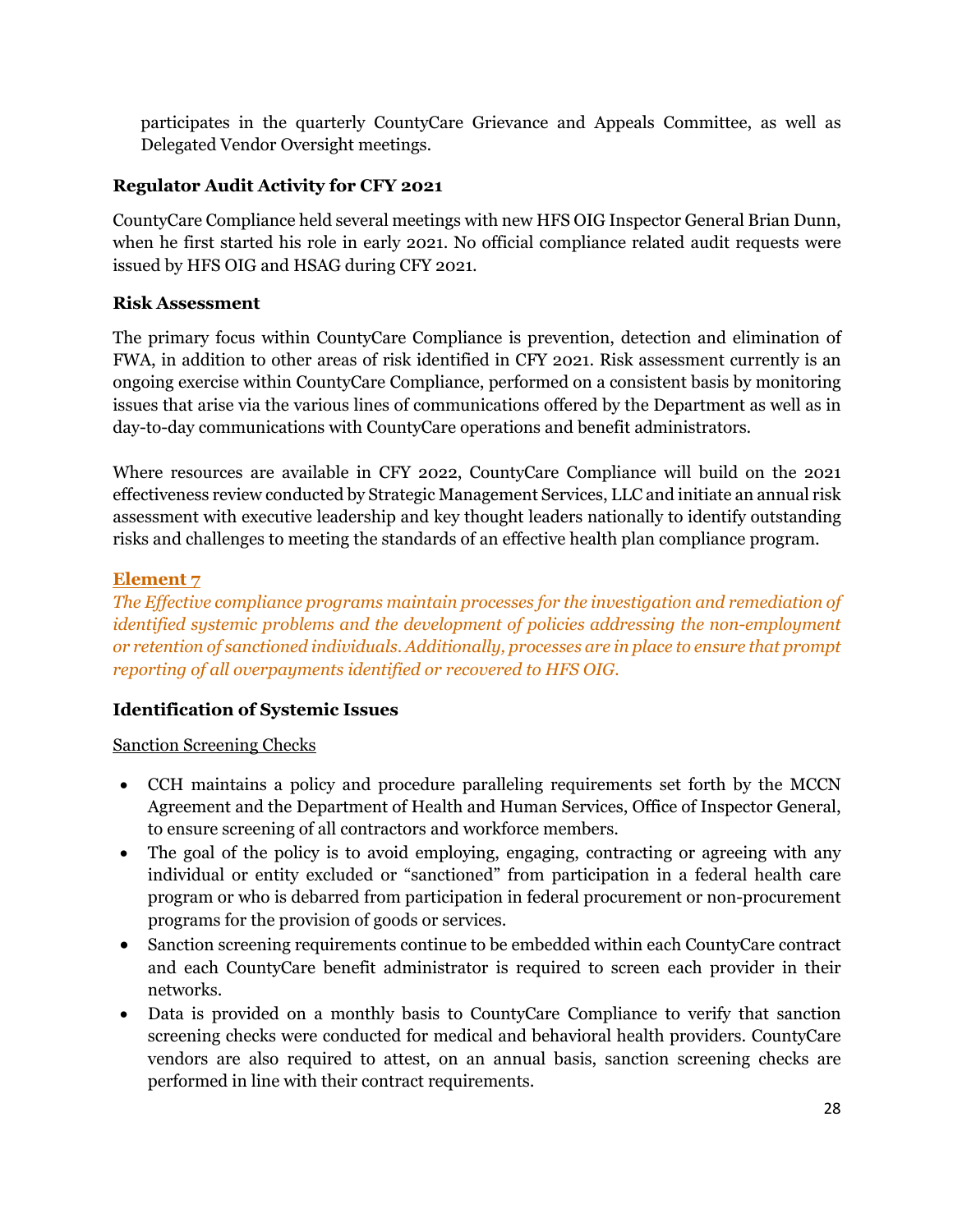participates in the quarterly CountyCare Grievance and Appeals Committee, as well as Delegated Vendor Oversight meetings.

# **Regulator Audit Activity for CFY 2021**

CountyCare Compliance held several meetings with new HFS OIG Inspector General Brian Dunn, when he first started his role in early 2021. No official compliance related audit requests were issued by HFS OIG and HSAG during CFY 2021.

#### **Risk Assessment**

The primary focus within CountyCare Compliance is prevention, detection and elimination of FWA, in addition to other areas of risk identified in CFY 2021. Risk assessment currently is an ongoing exercise within CountyCare Compliance, performed on a consistent basis by monitoring issues that arise via the various lines of communications offered by the Department as well as in day-to-day communications with CountyCare operations and benefit administrators.

Where resources are available in CFY 2022, CountyCare Compliance will build on the 2021 effectiveness review conducted by Strategic Management Services, LLC and initiate an annual risk assessment with executive leadership and key thought leaders nationally to identify outstanding risks and challenges to meeting the standards of an effective health plan compliance program.

# **Element 7**

*The Effective compliance programs maintain processes for the investigation and remediation of identified systemic problems and the development of policies addressing the non-employment or retention of sanctioned individuals. Additionally, processes are in place to ensure that prompt reporting of all overpayments identified or recovered to HFS OIG.*

# **Identification of Systemic Issues**

#### Sanction Screening Checks

- CCH maintains a policy and procedure paralleling requirements set forth by the MCCN Agreement and the Department of Health and Human Services, Office of Inspector General, to ensure screening of all contractors and workforce members.
- The goal of the policy is to avoid employing, engaging, contracting or agreeing with any individual or entity excluded or "sanctioned" from participation in a federal health care program or who is debarred from participation in federal procurement or non-procurement programs for the provision of goods or services.
- Sanction screening requirements continue to be embedded within each CountyCare contract and each CountyCare benefit administrator is required to screen each provider in their networks.
- Data is provided on a monthly basis to CountyCare Compliance to verify that sanction screening checks were conducted for medical and behavioral health providers. CountyCare vendors are also required to attest, on an annual basis, sanction screening checks are performed in line with their contract requirements.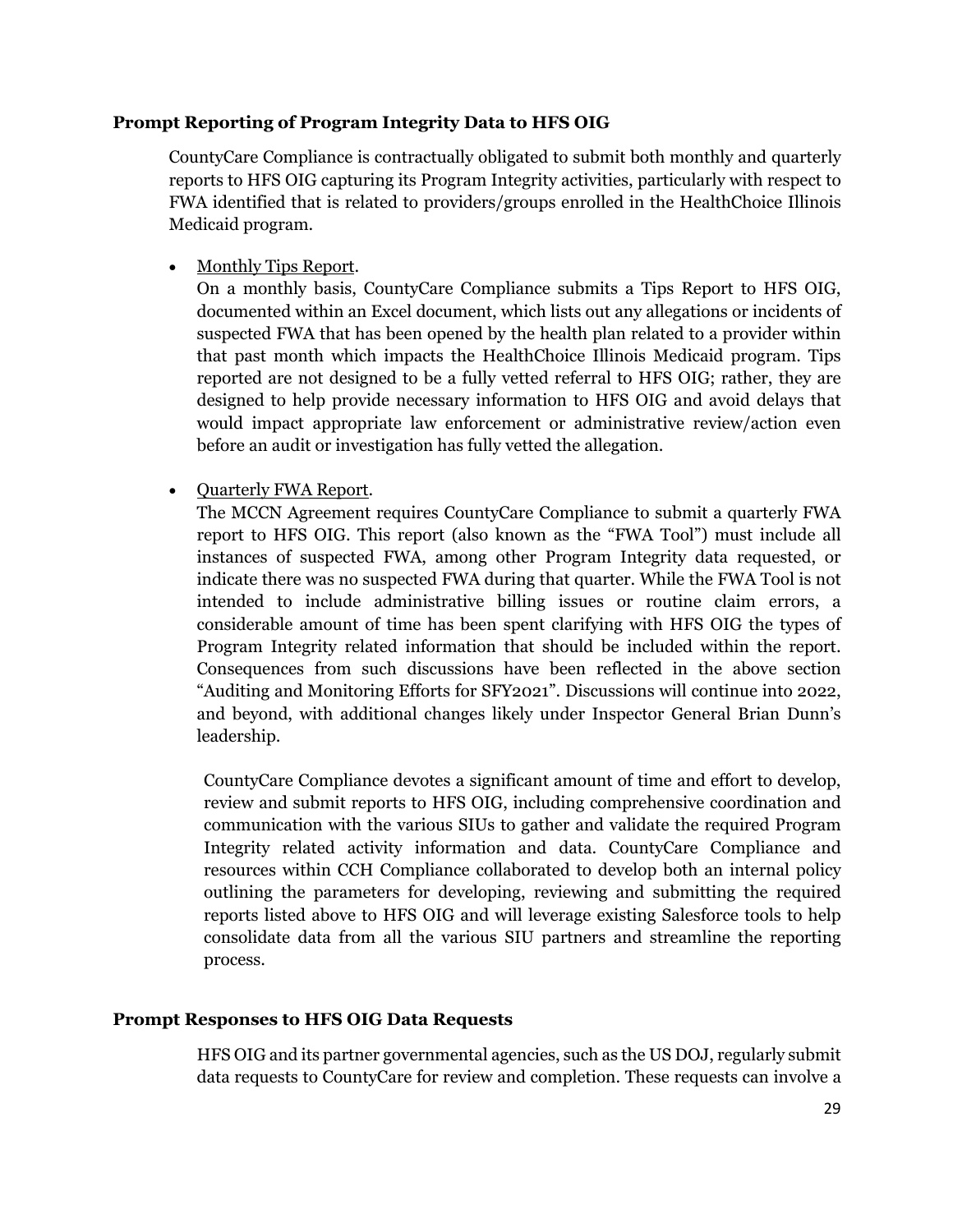#### **Prompt Reporting of Program Integrity Data to HFS OIG**

CountyCare Compliance is contractually obligated to submit both monthly and quarterly reports to HFS OIG capturing its Program Integrity activities, particularly with respect to FWA identified that is related to providers/groups enrolled in the HealthChoice Illinois Medicaid program.

• Monthly Tips Report.

On a monthly basis, CountyCare Compliance submits a Tips Report to HFS OIG, documented within an Excel document, which lists out any allegations or incidents of suspected FWA that has been opened by the health plan related to a provider within that past month which impacts the HealthChoice Illinois Medicaid program. Tips reported are not designed to be a fully vetted referral to HFS OIG; rather, they are designed to help provide necessary information to HFS OIG and avoid delays that would impact appropriate law enforcement or administrative review/action even before an audit or investigation has fully vetted the allegation.

• Quarterly FWA Report.

The MCCN Agreement requires CountyCare Compliance to submit a quarterly FWA report to HFS OIG. This report (also known as the "FWA Tool") must include all instances of suspected FWA, among other Program Integrity data requested, or indicate there was no suspected FWA during that quarter. While the FWA Tool is not intended to include administrative billing issues or routine claim errors, a considerable amount of time has been spent clarifying with HFS OIG the types of Program Integrity related information that should be included within the report. Consequences from such discussions have been reflected in the above section "Auditing and Monitoring Efforts for SFY2021". Discussions will continue into 2022, and beyond, with additional changes likely under Inspector General Brian Dunn's leadership.

CountyCare Compliance devotes a significant amount of time and effort to develop, review and submit reports to HFS OIG, including comprehensive coordination and communication with the various SIUs to gather and validate the required Program Integrity related activity information and data. CountyCare Compliance and resources within CCH Compliance collaborated to develop both an internal policy outlining the parameters for developing, reviewing and submitting the required reports listed above to HFS OIG and will leverage existing Salesforce tools to help consolidate data from all the various SIU partners and streamline the reporting process.

#### **Prompt Responses to HFS OIG Data Requests**

HFS OIG and its partner governmental agencies, such as the US DOJ, regularly submit data requests to CountyCare for review and completion. These requests can involve a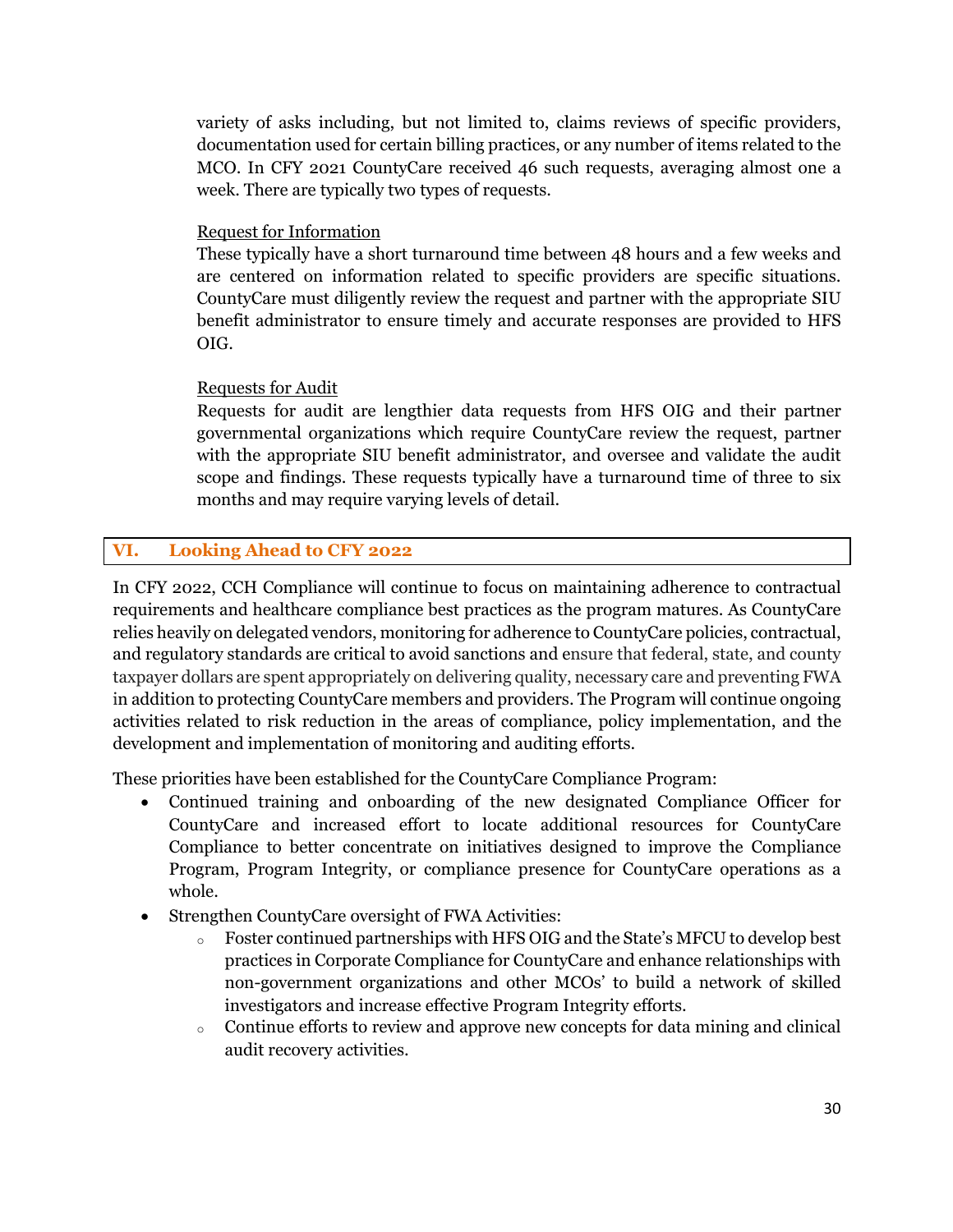variety of asks including, but not limited to, claims reviews of specific providers, documentation used for certain billing practices, or any number of items related to the MCO. In CFY 2021 CountyCare received 46 such requests, averaging almost one a week. There are typically two types of requests.

#### Request for Information

These typically have a short turnaround time between 48 hours and a few weeks and are centered on information related to specific providers are specific situations. CountyCare must diligently review the request and partner with the appropriate SIU benefit administrator to ensure timely and accurate responses are provided to HFS OIG.

#### Requests for Audit

Requests for audit are lengthier data requests from HFS OIG and their partner governmental organizations which require CountyCare review the request, partner with the appropriate SIU benefit administrator, and oversee and validate the audit scope and findings. These requests typically have a turnaround time of three to six months and may require varying levels of detail.

# **VI. Looking Ahead to CFY 2022**

In CFY 2022, CCH Compliance will continue to focus on maintaining adherence to contractual requirements and healthcare compliance best practices as the program matures. As CountyCare relies heavily on delegated vendors, monitoring for adherence to CountyCare policies, contractual, and regulatory standards are critical to avoid sanctions and ensure that federal, state, and county taxpayer dollars are spent appropriately on delivering quality, necessary care and preventing FWA in addition to protecting CountyCare members and providers. The Program will continue ongoing activities related to risk reduction in the areas of compliance, policy implementation, and the development and implementation of monitoring and auditing efforts.

These priorities have been established for the CountyCare Compliance Program:

- Continued training and onboarding of the new designated Compliance Officer for CountyCare and increased effort to locate additional resources for CountyCare Compliance to better concentrate on initiatives designed to improve the Compliance Program, Program Integrity, or compliance presence for CountyCare operations as a whole.
- Strengthen CountyCare oversight of FWA Activities:
	- o Foster continued partnerships with HFS OIG and the State's MFCU to develop best practices in Corporate Compliance for CountyCare and enhance relationships with non-government organizations and other MCOs' to build a network of skilled investigators and increase effective Program Integrity efforts.
	- o Continue efforts to review and approve new concepts for data mining and clinical audit recovery activities.